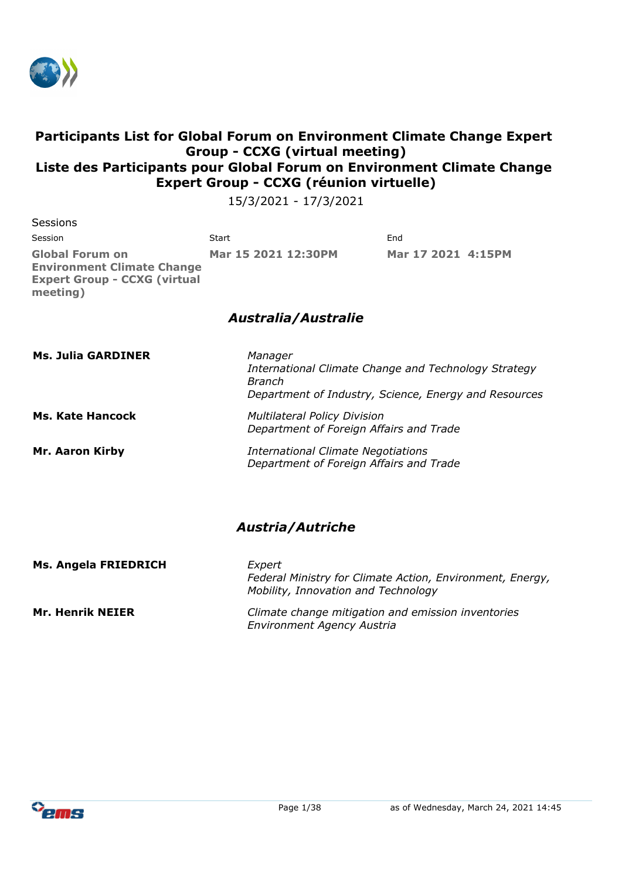

## **Participants List for Global Forum on Environment Climate Change Expert Group - CCXG (virtual meeting) Liste des Participants pour Global Forum on Environment Climate Change Expert Group - CCXG (réunion virtuelle)**

15/3/2021 - 17/3/2021

| Sessions                                                                                                |                     |                    |  |
|---------------------------------------------------------------------------------------------------------|---------------------|--------------------|--|
| Session                                                                                                 | Start               | End                |  |
| Global Forum on<br><b>Environment Climate Change</b><br><b>Expert Group - CCXG (virtual</b><br>meeting) | Mar 15 2021 12:30PM | Mar 17 2021 4:15PM |  |

## *Australia/Australie*

| <b>Ms. Julia GARDINER</b> | Manager<br>International Climate Change and Technology Strategy                      |
|---------------------------|--------------------------------------------------------------------------------------|
|                           | <b>Branch</b><br>Department of Industry, Science, Energy and Resources               |
| <b>Ms. Kate Hancock</b>   | <b>Multilateral Policy Division</b><br>Department of Foreign Affairs and Trade       |
| Mr. Aaron Kirby           | <b>International Climate Negotiations</b><br>Department of Foreign Affairs and Trade |

#### *Austria/Autriche*

| Ms. Angela FRIEDRICH    | Expert<br>Federal Ministry for Climate Action, Environment, Energy,<br>Mobility, Innovation and Technology |
|-------------------------|------------------------------------------------------------------------------------------------------------|
| <b>Mr. Henrik NEIER</b> | Climate change mitigation and emission inventories<br><b>Environment Agency Austria</b>                    |

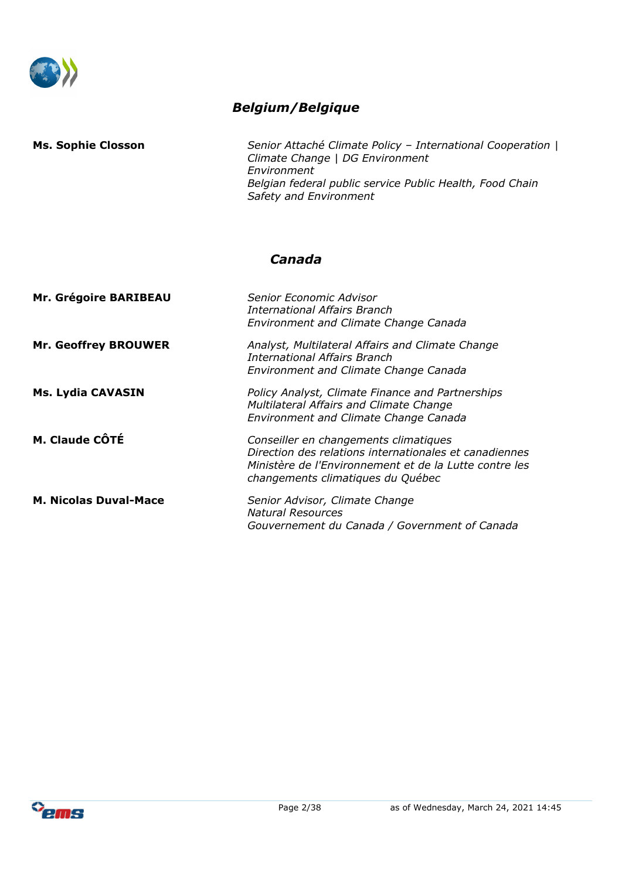

## *Belgium/Belgique*

**Ms. Sophie Closson** *Senior Attaché Climate Policy – International Cooperation | Climate Change | DG Environment Environment Belgian federal public service Public Health, Food Chain Safety and Environment*

#### *Canada*

| Mr. Grégoire BARIBEAU        | Senior Economic Advisor<br>International Affairs Branch<br>Environment and Climate Change Canada                                                                                               |
|------------------------------|------------------------------------------------------------------------------------------------------------------------------------------------------------------------------------------------|
| <b>Mr. Geoffrey BROUWER</b>  | Analyst, Multilateral Affairs and Climate Change<br><b>International Affairs Branch</b><br><b>Environment and Climate Change Canada</b>                                                        |
| <b>Ms. Lydia CAVASIN</b>     | Policy Analyst, Climate Finance and Partnerships<br>Multilateral Affairs and Climate Change<br>Environment and Climate Change Canada                                                           |
| M. Claude CÔTÉ               | Conseiller en changements climatiques<br>Direction des relations internationales et canadiennes<br>Ministère de l'Environnement et de la Lutte contre les<br>changements climatiques du Québec |
| <b>M. Nicolas Duval-Mace</b> | Senior Advisor, Climate Change<br><b>Natural Resources</b><br>Gouvernement du Canada / Government of Canada                                                                                    |

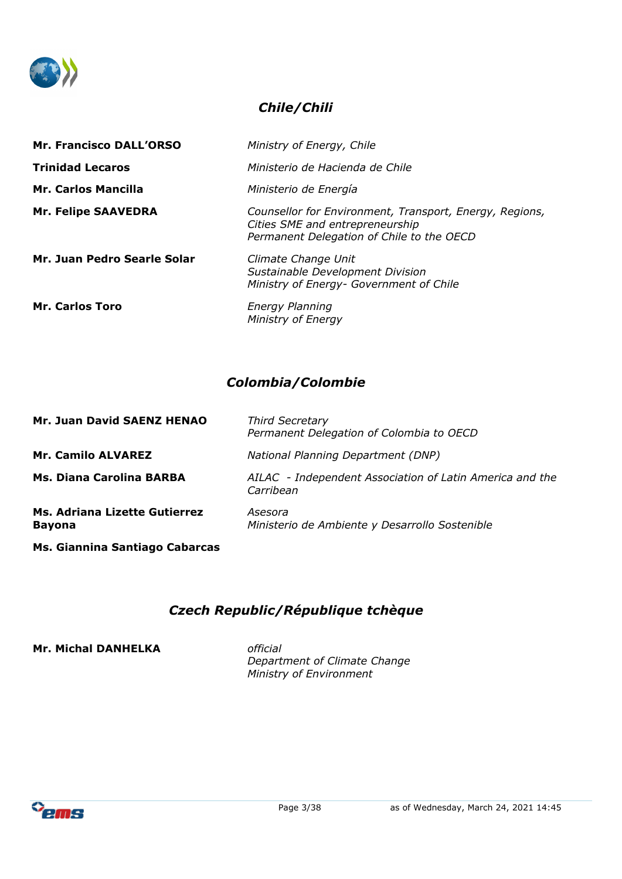

## *Chile/Chili*

| <b>Mr. Francisco DALL'ORSO</b> | Ministry of Energy, Chile                                                                                                               |
|--------------------------------|-----------------------------------------------------------------------------------------------------------------------------------------|
| <b>Trinidad Lecaros</b>        | Ministerio de Hacienda de Chile                                                                                                         |
| <b>Mr. Carlos Mancilla</b>     | Ministerio de Energía                                                                                                                   |
| <b>Mr. Felipe SAAVEDRA</b>     | Counsellor for Environment, Transport, Energy, Regions,<br>Cities SME and entrepreneurship<br>Permanent Delegation of Chile to the OECD |
| Mr. Juan Pedro Searle Solar    | Climate Change Unit<br>Sustainable Development Division<br>Ministry of Energy- Government of Chile                                      |
| <b>Mr. Carlos Toro</b>         | <b>Energy Planning</b><br>Ministry of Energy                                                                                            |

## *Colombia/Colombie*

| Mr. Juan David SAENZ HENAO                            | <b>Third Secretary</b><br>Permanent Delegation of Colombia to OECD    |
|-------------------------------------------------------|-----------------------------------------------------------------------|
| <b>Mr. Camilo ALVAREZ</b>                             | National Planning Department (DNP)                                    |
| Ms. Diana Carolina BARBA                              | AILAC - Independent Association of Latin America and the<br>Carribean |
| <b>Ms. Adriana Lizette Gutierrez</b><br><b>Bayona</b> | Asesora<br>Ministerio de Ambiente y Desarrollo Sostenible             |
| Ms. Giannina Santiago Cabarcas                        |                                                                       |

## *Czech Republic/République tchèque*

**Mr. Michal DANHELKA** *official*

*Department of Climate Change Ministry of Environment*

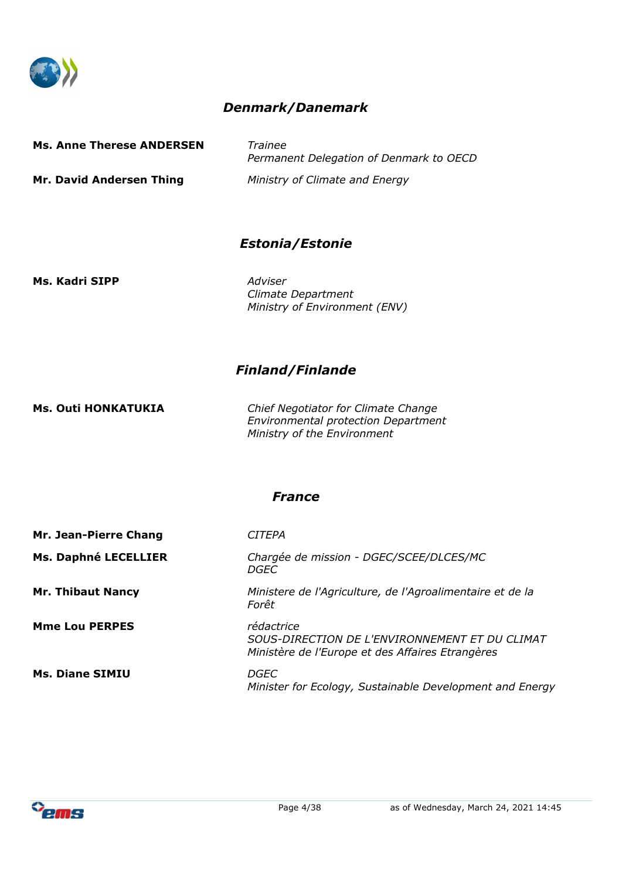

## *Denmark/Danemark*

| <b>Ms. Anne Therese ANDERSEN</b> |  |
|----------------------------------|--|
|----------------------------------|--|

**Ms. Anne Therese ANDERSEN** *Trainee Permanent Delegation of Denmark to OECD* **Mr. David Andersen Thing** *Ministry of Climate and Energy*

## *Estonia/Estonie*

**Ms. Kadri SIPP** *Adviser*

*Climate Department Ministry of Environment (ENV)*

## *Finland/Finlande*

**Ms. Outi HONKATUKIA** *Chief Negotiator for Climate Change Environmental protection Department Ministry of the Environment*

#### *France*

| Mr. Jean-Pierre Chang    | <b>CITEPA</b>                                                                                                    |
|--------------------------|------------------------------------------------------------------------------------------------------------------|
| Ms. Daphné LECELLIER     | Chargée de mission - DGEC/SCEE/DLCES/MC<br>DGEC                                                                  |
| <b>Mr. Thibaut Nancy</b> | Ministere de l'Agriculture, de l'Agroalimentaire et de la<br>Forêt                                               |
| <b>Mme Lou PERPES</b>    | rédactrice<br>SOUS-DIRECTION DE L'ENVIRONNEMENT ET DU CLIMAT<br>Ministère de l'Europe et des Affaires Etrangères |
| <b>Ms. Diane SIMIU</b>   | <i>DGEC</i><br>Minister for Ecology, Sustainable Development and Energy                                          |

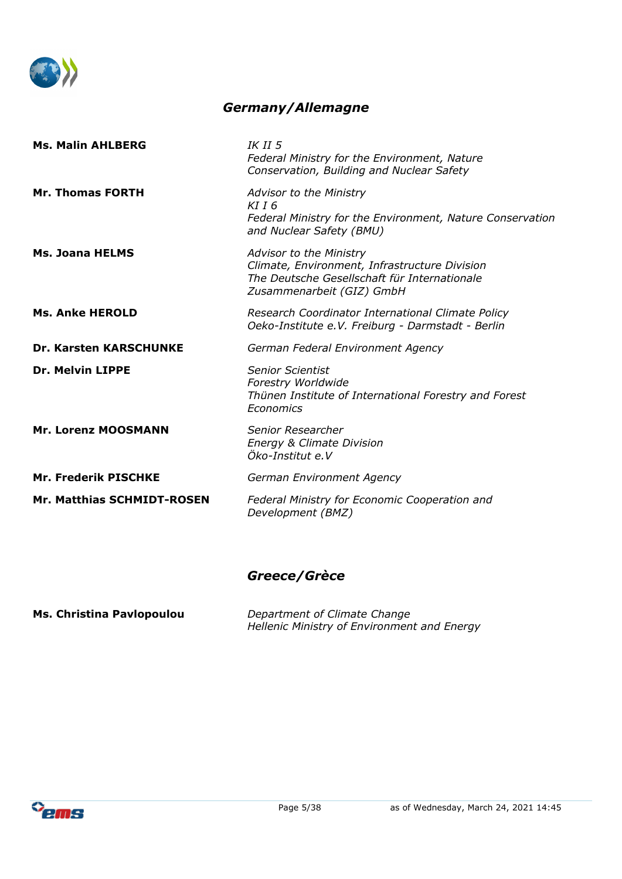

#### *Germany/Allemagne*

| <i>IK II 5</i><br>Federal Ministry for the Environment, Nature<br>Conservation, Building and Nuclear Safety                                           |
|-------------------------------------------------------------------------------------------------------------------------------------------------------|
| Advisor to the Ministry<br>KII6<br>Federal Ministry for the Environment, Nature Conservation<br>and Nuclear Safety (BMU)                              |
| Advisor to the Ministry<br>Climate, Environment, Infrastructure Division<br>The Deutsche Gesellschaft für Internationale<br>Zusammenarbeit (GIZ) GmbH |
| Research Coordinator International Climate Policy<br>Oeko-Institute e.V. Freiburg - Darmstadt - Berlin                                                |
| German Federal Environment Agency                                                                                                                     |
| <b>Senior Scientist</b><br>Forestry Worldwide<br>Thünen Institute of International Forestry and Forest<br>Economics                                   |
| Senior Researcher<br>Energy & Climate Division<br>Öko-Institut e.V                                                                                    |
| German Environment Agency                                                                                                                             |
| Federal Ministry for Economic Cooperation and<br>Development (BMZ)                                                                                    |
|                                                                                                                                                       |

#### *Greece/Grèce*

**Ms. Christina Pavlopoulou** *Department of Climate Change Hellenic Ministry of Environment and Energy*

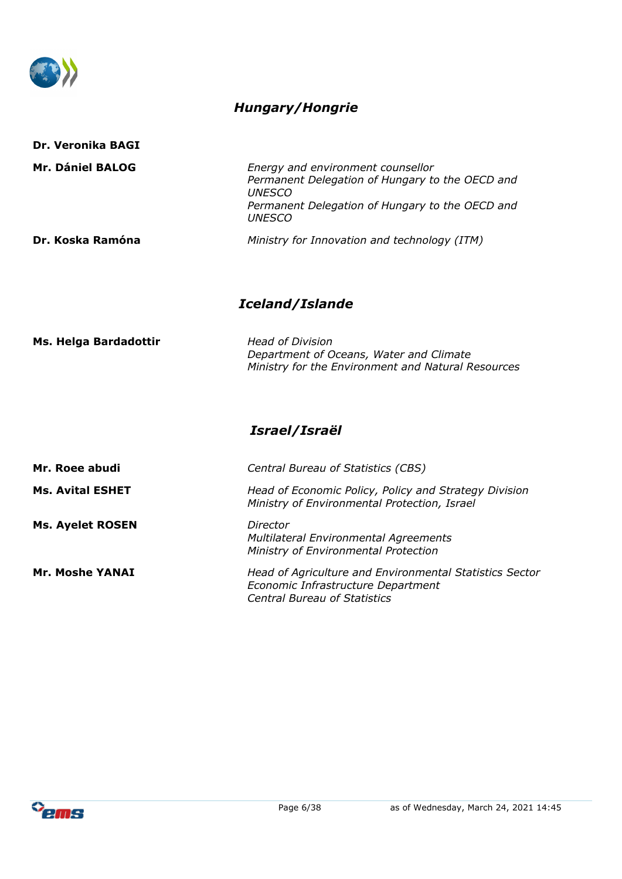

**Dr. Veronika BAGI**

# *Hungary/Hongrie*

| Mr. Dániel BALOG        | Energy and environment counsellor<br>Permanent Delegation of Hungary to the OECD and<br><b>UNESCO</b><br>Permanent Delegation of Hungary to the OECD and<br><b>UNESCO</b> |
|-------------------------|---------------------------------------------------------------------------------------------------------------------------------------------------------------------------|
| Dr. Koska Ramóna        | Ministry for Innovation and technology (ITM)                                                                                                                              |
|                         | <b>Iceland/Islande</b>                                                                                                                                                    |
| Ms. Helga Bardadottir   | <b>Head of Division</b><br>Department of Oceans, Water and Climate<br>Ministry for the Environment and Natural Resources                                                  |
|                         | Israel/Israël                                                                                                                                                             |
| Mr. Roee abudi          | Central Bureau of Statistics (CBS)                                                                                                                                        |
| <b>Ms. Avital ESHET</b> | Head of Economic Policy, Policy and Strategy Division<br>Ministry of Environmental Protection, Israel                                                                     |
| <b>Ms. Ayelet ROSEN</b> | Director<br><b>Multilateral Environmental Agreements</b><br>Ministry of Environmental Protection                                                                          |
| <b>Mr. Moshe YANAI</b>  | Head of Agriculture and Environmental Statistics Sector<br>Economic Infrastructure Department<br><b>Central Bureau of Statistics</b>                                      |
|                         |                                                                                                                                                                           |

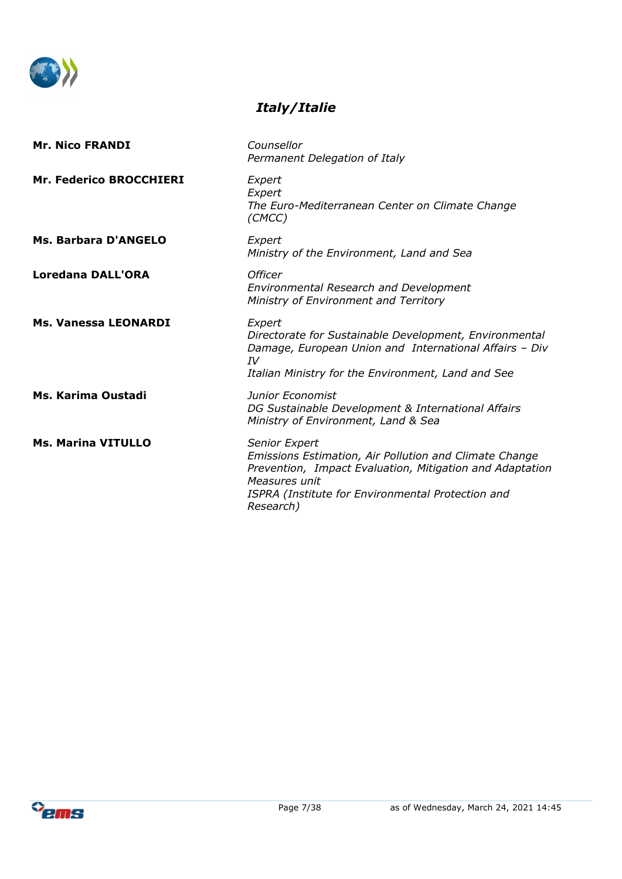

# *Italy/Italie*

| <b>Mr. Nico FRANDI</b>         | Counsellor<br>Permanent Delegation of Italy                                                                                                                                                                                   |
|--------------------------------|-------------------------------------------------------------------------------------------------------------------------------------------------------------------------------------------------------------------------------|
| <b>Mr. Federico BROCCHIERI</b> | Expert<br>Expert<br>The Euro-Mediterranean Center on Climate Change<br>(CMCC)                                                                                                                                                 |
| Ms. Barbara D'ANGELO           | Expert<br>Ministry of the Environment, Land and Sea                                                                                                                                                                           |
| Loredana DALL'ORA              | <b>Officer</b><br><b>Environmental Research and Development</b><br>Ministry of Environment and Territory                                                                                                                      |
| <b>Ms. Vanessa LEONARDI</b>    | Expert<br>Directorate for Sustainable Development, Environmental<br>Damage, European Union and International Affairs - Div<br>IV<br>Italian Ministry for the Environment, Land and See                                        |
| Ms. Karima Oustadi             | Junior Economist<br>DG Sustainable Development & International Affairs<br>Ministry of Environment, Land & Sea                                                                                                                 |
| <b>Ms. Marina VITULLO</b>      | <b>Senior Expert</b><br>Emissions Estimation, Air Pollution and Climate Change<br>Prevention, Impact Evaluation, Mitigation and Adaptation<br>Measures unit<br>ISPRA (Institute for Environmental Protection and<br>Research) |

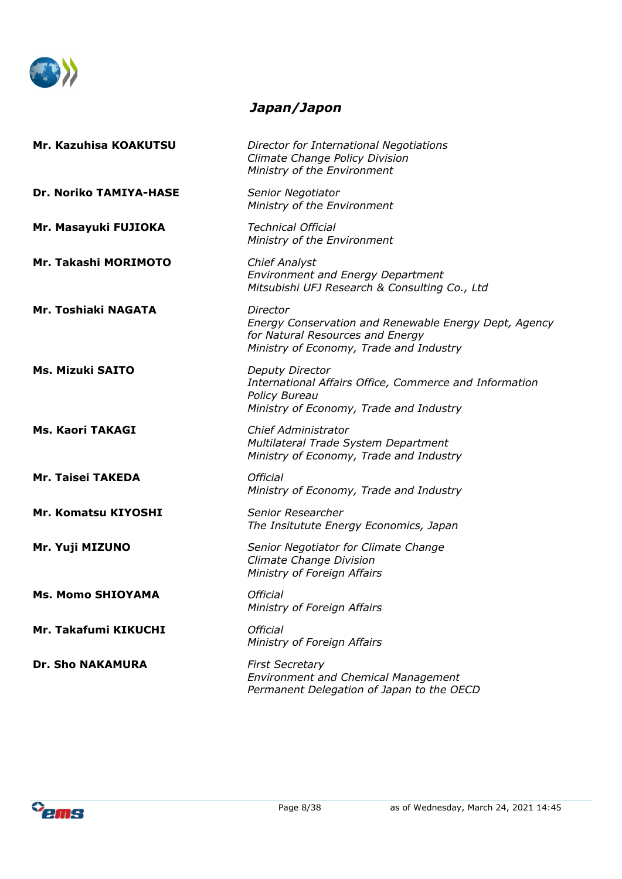

## *Japan/Japon*

| Mr. Kazuhisa KOAKUTSU         | Director for International Negotiations<br>Climate Change Policy Division<br>Ministry of the Environment                                            |
|-------------------------------|-----------------------------------------------------------------------------------------------------------------------------------------------------|
| <b>Dr. Noriko TAMIYA-HASE</b> | Senior Negotiator<br>Ministry of the Environment                                                                                                    |
| Mr. Masayuki FUJIOKA          | <b>Technical Official</b><br>Ministry of the Environment                                                                                            |
| Mr. Takashi MORIMOTO          | <b>Chief Analyst</b><br><b>Environment and Energy Department</b><br>Mitsubishi UFJ Research & Consulting Co., Ltd                                   |
| Mr. Toshiaki NAGATA           | Director<br>Energy Conservation and Renewable Energy Dept, Agency<br>for Natural Resources and Energy<br>Ministry of Economy, Trade and Industry    |
| <b>Ms. Mizuki SAITO</b>       | <b>Deputy Director</b><br>International Affairs Office, Commerce and Information<br><b>Policy Bureau</b><br>Ministry of Economy, Trade and Industry |
| <b>Ms. Kaori TAKAGI</b>       | <b>Chief Administrator</b><br>Multilateral Trade System Department<br>Ministry of Economy, Trade and Industry                                       |
| Mr. Taisei TAKEDA             | <b>Official</b><br>Ministry of Economy, Trade and Industry                                                                                          |
| Mr. Komatsu KIYOSHI           | Senior Researcher<br>The Insitutute Energy Economics, Japan                                                                                         |
| Mr. Yuji MIZUNO               | Senior Negotiator for Climate Change<br>Climate Change Division<br>Ministry of Foreign Affairs                                                      |
| <b>Ms. Momo SHIOYAMA</b>      | <b>Official</b><br>Ministry of Foreign Affairs                                                                                                      |
| Mr. Takafumi KIKUCHI          | <b>Official</b><br>Ministry of Foreign Affairs                                                                                                      |
| <b>Dr. Sho NAKAMURA</b>       | <b>First Secretary</b><br><b>Environment and Chemical Management</b><br>Permanent Delegation of Japan to the OECD                                   |

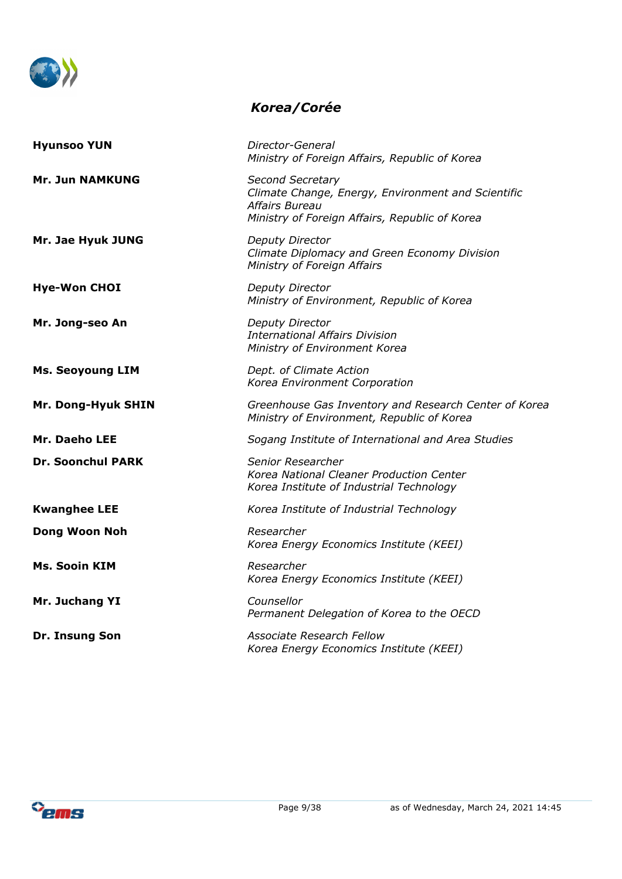

## *Korea/Corée*

| <b>Hyunsoo YUN</b>       | Director-General<br>Ministry of Foreign Affairs, Republic of Korea                                                                                |
|--------------------------|---------------------------------------------------------------------------------------------------------------------------------------------------|
| <b>Mr. Jun NAMKUNG</b>   | Second Secretary<br>Climate Change, Energy, Environment and Scientific<br><b>Affairs Bureau</b><br>Ministry of Foreign Affairs, Republic of Korea |
| Mr. Jae Hyuk JUNG        | Deputy Director<br>Climate Diplomacy and Green Economy Division<br>Ministry of Foreign Affairs                                                    |
| <b>Hye-Won CHOI</b>      | Deputy Director<br>Ministry of Environment, Republic of Korea                                                                                     |
| Mr. Jong-seo An          | Deputy Director<br><b>International Affairs Division</b><br>Ministry of Environment Korea                                                         |
| <b>Ms. Seoyoung LIM</b>  | Dept. of Climate Action<br>Korea Environment Corporation                                                                                          |
| Mr. Dong-Hyuk SHIN       | Greenhouse Gas Inventory and Research Center of Korea<br>Ministry of Environment, Republic of Korea                                               |
| Mr. Daeho LEE            | Sogang Institute of International and Area Studies                                                                                                |
| <b>Dr. Soonchul PARK</b> | Senior Researcher<br>Korea National Cleaner Production Center<br>Korea Institute of Industrial Technology                                         |
| <b>Kwanghee LEE</b>      | Korea Institute of Industrial Technology                                                                                                          |
| Dong Woon Noh            | Researcher<br>Korea Energy Economics Institute (KEEI)                                                                                             |
| <b>Ms. Sooin KIM</b>     | Researcher<br>Korea Energy Economics Institute (KEEI)                                                                                             |
| Mr. Juchang YI           | Counsellor<br>Permanent Delegation of Korea to the OECD                                                                                           |
| <b>Dr. Insung Son</b>    | <b>Associate Research Fellow</b><br>Korea Energy Economics Institute (KEEI)                                                                       |
|                          |                                                                                                                                                   |

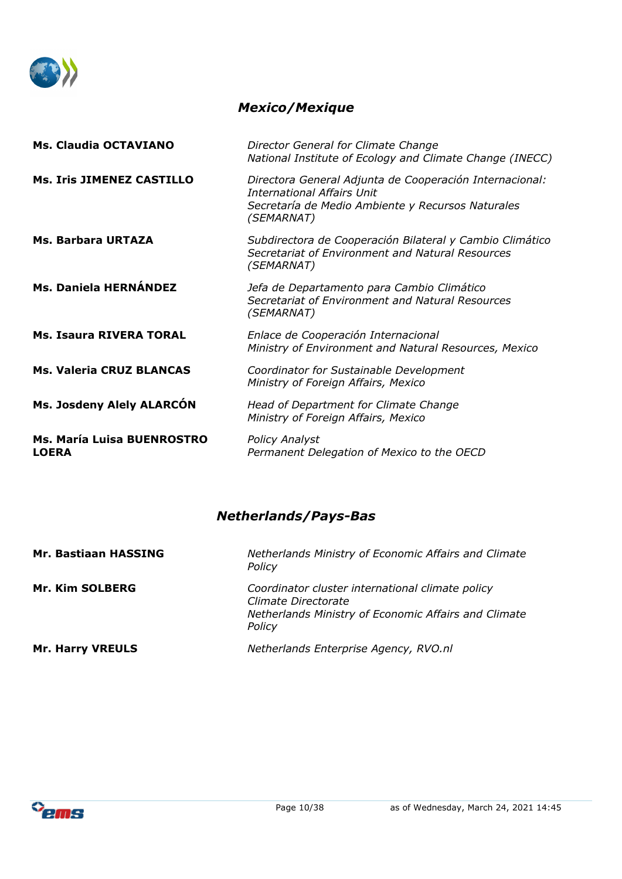

## *Mexico/Mexique*

| <b>Ms. Claudia OCTAVIANO</b>               | Director General for Climate Change<br>National Institute of Ecology and Climate Change (INECC)                                                                 |
|--------------------------------------------|-----------------------------------------------------------------------------------------------------------------------------------------------------------------|
| <b>Ms. Iris JIMENEZ CASTILLO</b>           | Directora General Adjunta de Cooperación Internacional:<br><b>International Affairs Unit</b><br>Secretaría de Medio Ambiente y Recursos Naturales<br>(SEMARNAT) |
| <b>Ms. Barbara URTAZA</b>                  | Subdirectora de Cooperación Bilateral y Cambio Climático<br>Secretariat of Environment and Natural Resources<br>(SEMARNAT)                                      |
| <b>Ms. Daniela HERNÁNDEZ</b>               | Jefa de Departamento para Cambio Climático<br>Secretariat of Environment and Natural Resources<br>(SEMARNAT)                                                    |
| <b>Ms. Isaura RIVERA TORAL</b>             | Enlace de Cooperación Internacional<br>Ministry of Environment and Natural Resources, Mexico                                                                    |
| <b>Ms. Valeria CRUZ BLANCAS</b>            | Coordinator for Sustainable Development<br>Ministry of Foreign Affairs, Mexico                                                                                  |
| <b>Ms. Josdeny Alely ALARCÓN</b>           | Head of Department for Climate Change<br>Ministry of Foreign Affairs, Mexico                                                                                    |
| Ms. María Luisa BUENROSTRO<br><b>LOERA</b> | <b>Policy Analyst</b><br>Permanent Delegation of Mexico to the OECD                                                                                             |

# *Netherlands/Pays-Bas*

| Mr. Bastiaan HASSING    | Netherlands Ministry of Economic Affairs and Climate<br>Policy                                                                            |
|-------------------------|-------------------------------------------------------------------------------------------------------------------------------------------|
| Mr. Kim SOLBERG         | Coordinator cluster international climate policy<br>Climate Directorate<br>Netherlands Ministry of Economic Affairs and Climate<br>Policy |
| <b>Mr. Harry VREULS</b> | Netherlands Enterprise Agency, RVO.nl                                                                                                     |

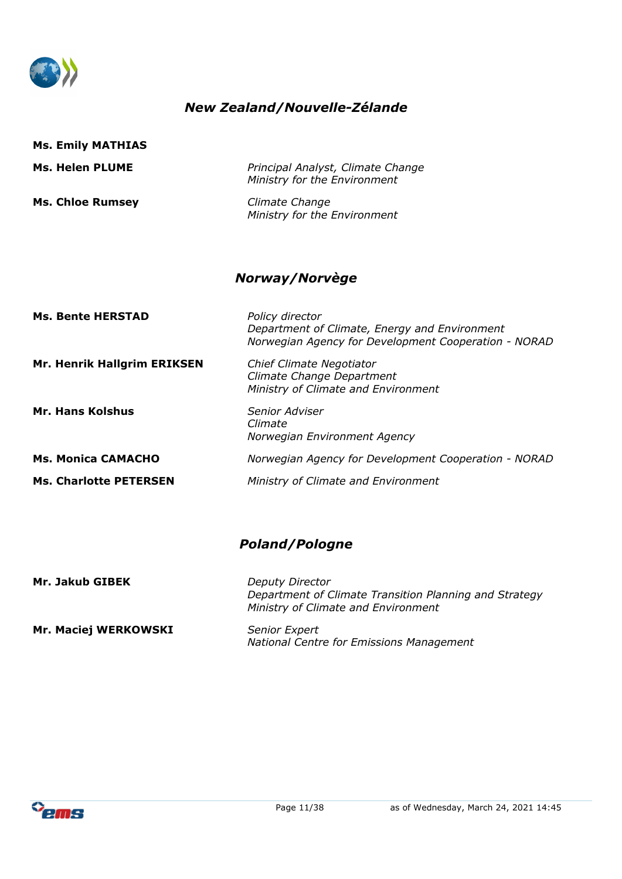

## *New Zealand/Nouvelle-Zélande*

| <b>Ms. Emily MATHIAS</b>      |                                                                                                                          |
|-------------------------------|--------------------------------------------------------------------------------------------------------------------------|
| <b>Ms. Helen PLUME</b>        | Principal Analyst, Climate Change<br>Ministry for the Environment                                                        |
| <b>Ms. Chloe Rumsey</b>       | Climate Change<br>Ministry for the Environment                                                                           |
|                               | Norway/Norvège                                                                                                           |
| <b>Ms. Bente HERSTAD</b>      | Policy director<br>Department of Climate, Energy and Environment<br>Norwegian Agency for Development Cooperation - NORAD |
| Mr. Henrik Hallgrim ERIKSEN   | <b>Chief Climate Negotiator</b><br>Climate Change Department<br>Ministry of Climate and Environment                      |
| <b>Mr. Hans Kolshus</b>       | Senior Adviser<br>Climate<br>Norwegian Environment Agency                                                                |
| <b>Ms. Monica CAMACHO</b>     | Norwegian Agency for Development Cooperation - NORAD                                                                     |
| <b>Ms. Charlotte PETERSEN</b> | Ministry of Climate and Environment                                                                                      |

## *Poland/Pologne*

**Mr. Jakub GIBEK** *Department of Climate Transition Planning and Strategy Ministry of Climate and Environment* **Mr. Maciej WERKOWSKI** *Senior Expert National Centre for Emissions Management*

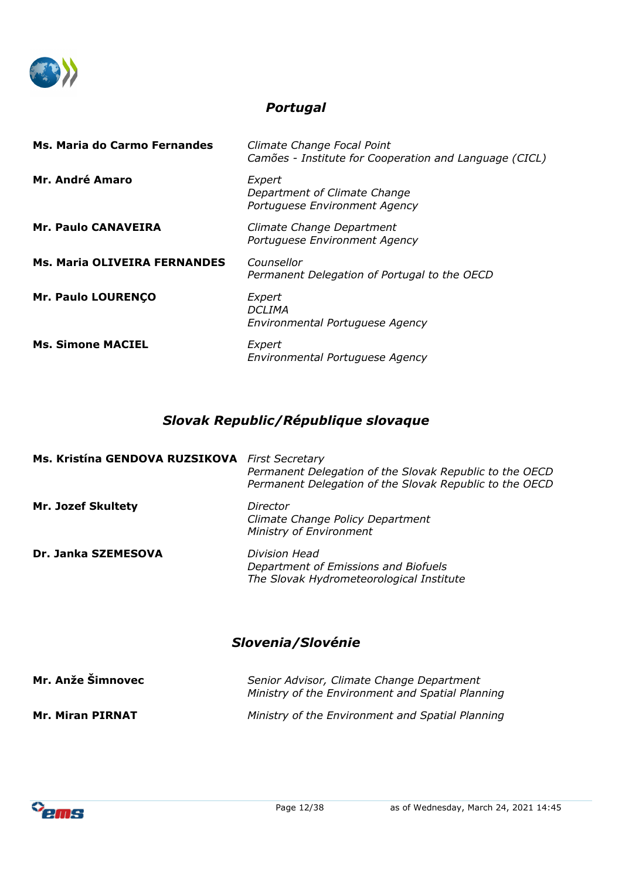

## *Portugal*

| Ms. Maria do Carmo Fernandes        | Climate Change Focal Point<br>Camões - Institute for Cooperation and Language (CICL) |
|-------------------------------------|--------------------------------------------------------------------------------------|
| Mr. André Amaro                     | Expert<br>Department of Climate Change<br>Portuguese Environment Agency              |
| <b>Mr. Paulo CANAVEIRA</b>          | Climate Change Department<br>Portuguese Environment Agency                           |
| <b>Ms. Maria OLIVEIRA FERNANDES</b> | Counsellor<br>Permanent Delegation of Portugal to the OECD                           |
| <b>Mr. Paulo LOURENÇO</b>           | Expert<br>DCLIMA<br>Environmental Portuguese Agency                                  |
| <b>Ms. Simone MACIEL</b>            | Expert<br>Environmental Portuguese Agency                                            |

# *Slovak Republic/République slovaque*

| Ms. Kristína GENDOVA RUZSIKOVA | <b>First Secretary</b><br>Permanent Delegation of the Slovak Republic to the OECD<br>Permanent Delegation of the Slovak Republic to the OECD |
|--------------------------------|----------------------------------------------------------------------------------------------------------------------------------------------|
| <b>Mr. Jozef Skultety</b>      | Director<br>Climate Change Policy Department<br>Ministry of Environment                                                                      |
| Dr. Janka SZEMESOVA            | Division Head<br>Department of Emissions and Biofuels<br>The Slovak Hydrometeorological Institute                                            |

# *Slovenia/Slovénie*

| Mr. Anže Šimnovec       | Senior Advisor, Climate Change Department<br>Ministry of the Environment and Spatial Planning |
|-------------------------|-----------------------------------------------------------------------------------------------|
| <b>Mr. Miran PIRNAT</b> | Ministry of the Environment and Spatial Planning                                              |

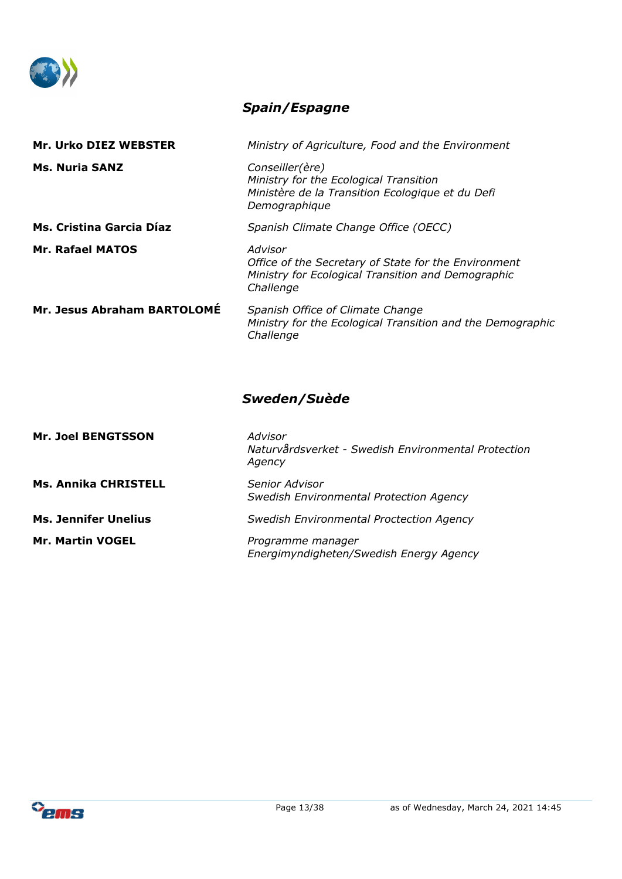

## *Spain/Espagne*

| <b>Mr. Urko DIEZ WEBSTER</b> | Ministry of Agriculture, Food and the Environment                                                                                  |
|------------------------------|------------------------------------------------------------------------------------------------------------------------------------|
| <b>Ms. Nuria SANZ</b>        | Conseiller(ère)<br>Ministry for the Ecological Transition<br>Ministère de la Transition Ecologique et du Defi<br>Demographique     |
| Ms. Cristina Garcia Díaz     | Spanish Climate Change Office (OECC)                                                                                               |
| <b>Mr. Rafael MATOS</b>      | Advisor<br>Office of the Secretary of State for the Environment<br>Ministry for Ecological Transition and Demographic<br>Challenge |
| Mr. Jesus Abraham BARTOLOMÉ  | Spanish Office of Climate Change<br>Ministry for the Ecological Transition and the Demographic<br>Challenge                        |

## *Sweden/Suède*

| <b>Mr. Joel BENGTSSON</b>   | Advisor<br>Naturvårdsverket - Swedish Environmental Protection<br>Agency |
|-----------------------------|--------------------------------------------------------------------------|
| <b>Ms. Annika CHRISTELL</b> | Senior Advisor<br>Swedish Environmental Protection Agency                |
| <b>Ms. Jennifer Unelius</b> | Swedish Environmental Proctection Agency                                 |
| <b>Mr. Martin VOGEL</b>     | Programme manager<br>Energimyndigheten/Swedish Energy Agency             |

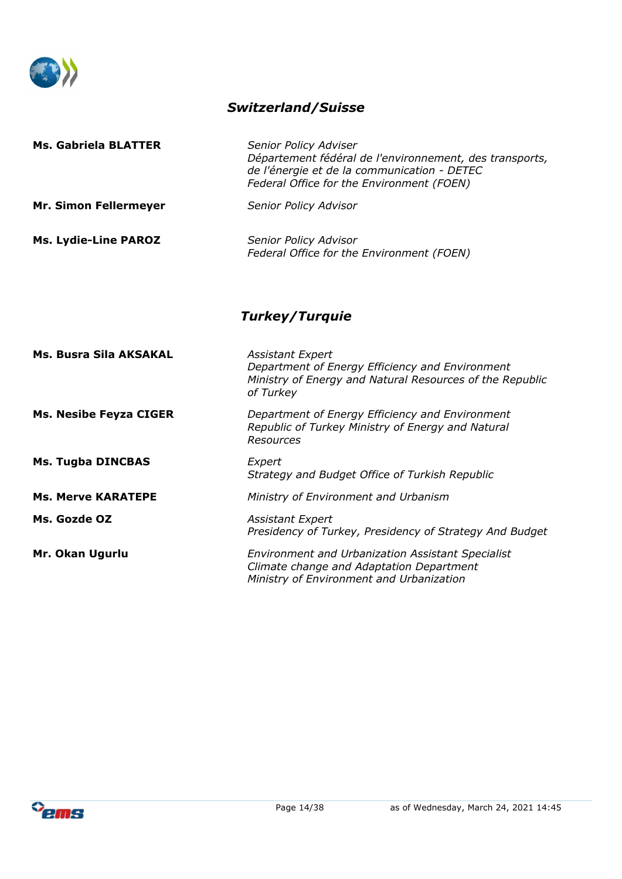

# *Switzerland/Suisse*

| <b>Ms. Gabriela BLATTER</b>  | Senior Policy Adviser<br>Département fédéral de l'environnement, des transports,<br>de l'énergie et de la communication - DETEC<br>Federal Office for the Environment (FOEN) |
|------------------------------|------------------------------------------------------------------------------------------------------------------------------------------------------------------------------|
| <b>Mr. Simon Fellermeyer</b> | <b>Senior Policy Advisor</b>                                                                                                                                                 |
| <b>Ms. Lydie-Line PAROZ</b>  | <b>Senior Policy Advisor</b><br>Federal Office for the Environment (FOEN)                                                                                                    |

# *Turkey/Turquie*

| Ms. Busra Sila AKSAKAL        | <b>Assistant Expert</b><br>Department of Energy Efficiency and Environment<br>Ministry of Energy and Natural Resources of the Republic<br>of Turkey |
|-------------------------------|-----------------------------------------------------------------------------------------------------------------------------------------------------|
| <b>Ms. Nesibe Feyza CIGER</b> | Department of Energy Efficiency and Environment<br>Republic of Turkey Ministry of Energy and Natural<br>Resources                                   |
| <b>Ms. Tugba DINCBAS</b>      | <i>Expert</i><br>Strategy and Budget Office of Turkish Republic                                                                                     |
| <b>Ms. Merve KARATEPE</b>     | Ministry of Environment and Urbanism                                                                                                                |
| Ms. Gozde OZ                  | <b>Assistant Expert</b><br>Presidency of Turkey, Presidency of Strategy And Budget                                                                  |
| Mr. Okan Ugurlu               | <b>Environment and Urbanization Assistant Specialist</b><br>Climate change and Adaptation Department<br>Ministry of Environment and Urbanization    |

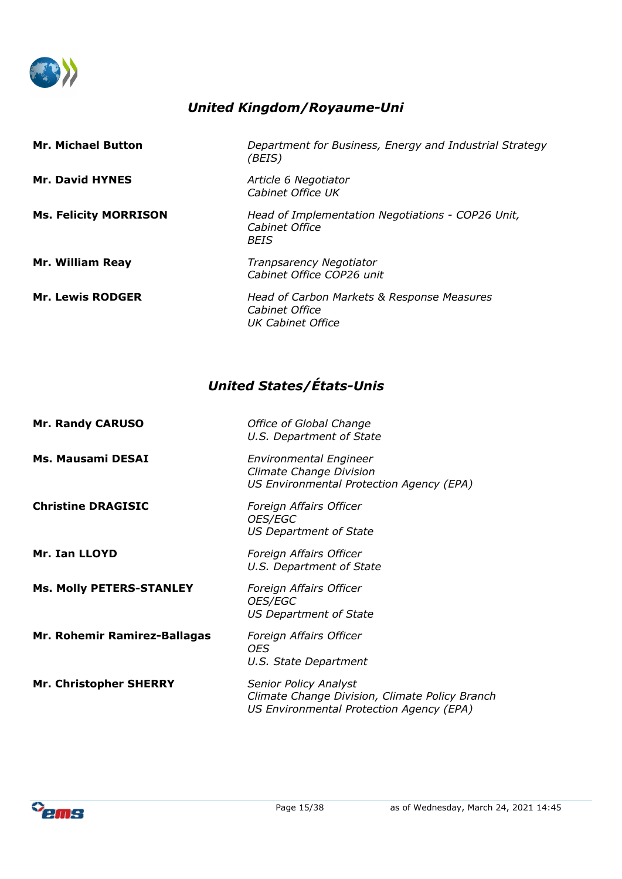

# *United Kingdom/Royaume-Uni*

| <b>Mr. Michael Button</b>    | Department for Business, Energy and Industrial Strategy<br>(BEIS)                  |
|------------------------------|------------------------------------------------------------------------------------|
| <b>Mr. David HYNES</b>       | Article 6 Negotiator<br>Cabinet Office UK                                          |
| <b>Ms. Felicity MORRISON</b> | Head of Implementation Negotiations - COP26 Unit,<br>Cabinet Office<br><b>BEIS</b> |
| <b>Mr. William Reay</b>      | Tranpsarency Negotiator<br>Cabinet Office COP26 unit                               |
| <b>Mr. Lewis RODGER</b>      | Head of Carbon Markets & Response Measures<br>Cabinet Office<br>UK Cabinet Office  |

# *United States/États-Unis*

| <b>Mr. Randy CARUSO</b>         | Office of Global Change<br>U.S. Department of State                                                                        |
|---------------------------------|----------------------------------------------------------------------------------------------------------------------------|
| Ms. Mausami DESAI               | <b>Environmental Engineer</b><br>Climate Change Division<br>US Environmental Protection Agency (EPA)                       |
| <b>Christine DRAGISIC</b>       | Foreign Affairs Officer<br><i>OES/EGC</i><br><b>US Department of State</b>                                                 |
| Mr. Ian LLOYD                   | Foreign Affairs Officer<br>U.S. Department of State                                                                        |
| <b>Ms. Molly PETERS-STANLEY</b> | Foreign Affairs Officer<br><i>OES/EGC</i><br><b>US Department of State</b>                                                 |
| Mr. Rohemir Ramirez-Ballagas    | Foreign Affairs Officer<br><i>OES</i><br>U.S. State Department                                                             |
| <b>Mr. Christopher SHERRY</b>   | <b>Senior Policy Analyst</b><br>Climate Change Division, Climate Policy Branch<br>US Environmental Protection Agency (EPA) |

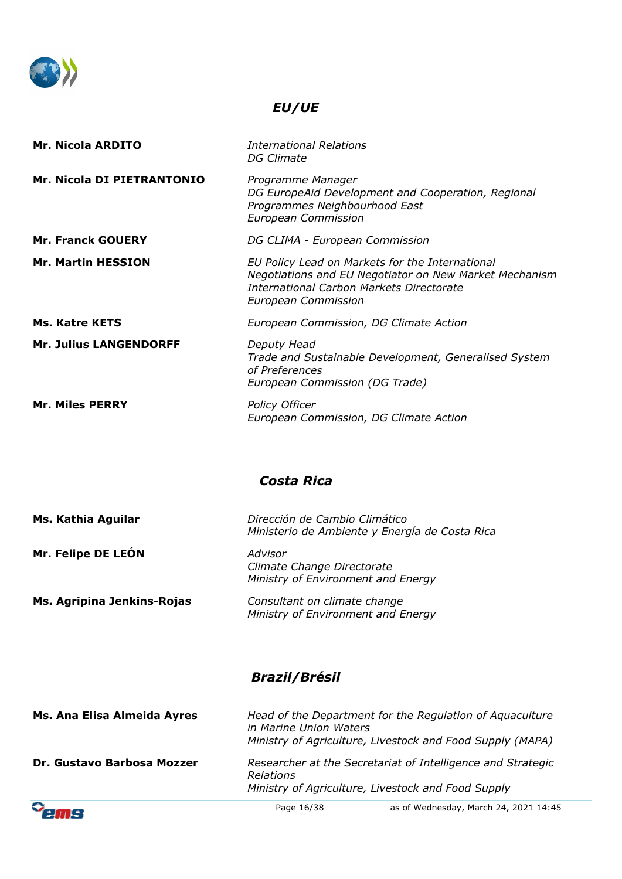

## *EU/UE*

| <b>Mr. Nicola ARDITO</b>      | International Relations<br>DG Climate                                                                                                                                        |
|-------------------------------|------------------------------------------------------------------------------------------------------------------------------------------------------------------------------|
| Mr. Nicola DI PIETRANTONIO    | Programme Manager<br>DG EuropeAid Development and Cooperation, Regional<br>Programmes Neighbourhood East<br><b>European Commission</b>                                       |
| <b>Mr. Franck GOUERY</b>      | DG CLIMA - European Commission                                                                                                                                               |
| <b>Mr. Martin HESSION</b>     | EU Policy Lead on Markets for the International<br>Negotiations and EU Negotiator on New Market Mechanism<br>International Carbon Markets Directorate<br>European Commission |
| <b>Ms. Katre KETS</b>         | European Commission, DG Climate Action                                                                                                                                       |
| <b>Mr. Julius LANGENDORFF</b> | Deputy Head<br>Trade and Sustainable Development, Generalised System<br>of Preferences<br>European Commission (DG Trade)                                                     |
| <b>Mr. Miles PERRY</b>        | <b>Policy Officer</b><br>European Commission, DG Climate Action                                                                                                              |

## *Costa Rica*

| Ms. Kathia Aguilar          | Dirección de Cambio Climático                                               | Ministerio de Ambiente y Energía de Costa Rica                                                                        |
|-----------------------------|-----------------------------------------------------------------------------|-----------------------------------------------------------------------------------------------------------------------|
| Mr. Felipe DE LEÓN          | Advisor<br>Climate Change Directorate<br>Ministry of Environment and Energy |                                                                                                                       |
| Ms. Agripina Jenkins-Rojas  | Consultant on climate change<br>Ministry of Environment and Energy          |                                                                                                                       |
|                             | Brazil/Brésil                                                               |                                                                                                                       |
| Ms. Ana Elisa Almeida Ayres | in Marine Union Waters                                                      | Head of the Department for the Regulation of Aquaculture<br>Ministry of Agriculture, Livestock and Food Supply (MAPA) |
| Dr. Gustavo Barbosa Mozzer  | <b>Relations</b>                                                            | Researcher at the Secretariat of Intelligence and Strategic<br>Ministry of Agriculture, Livestock and Food Supply     |
| $O_{\text{max}}$            | Page 16/38                                                                  | as of Wednesday, March 24, 2021 14:45                                                                                 |

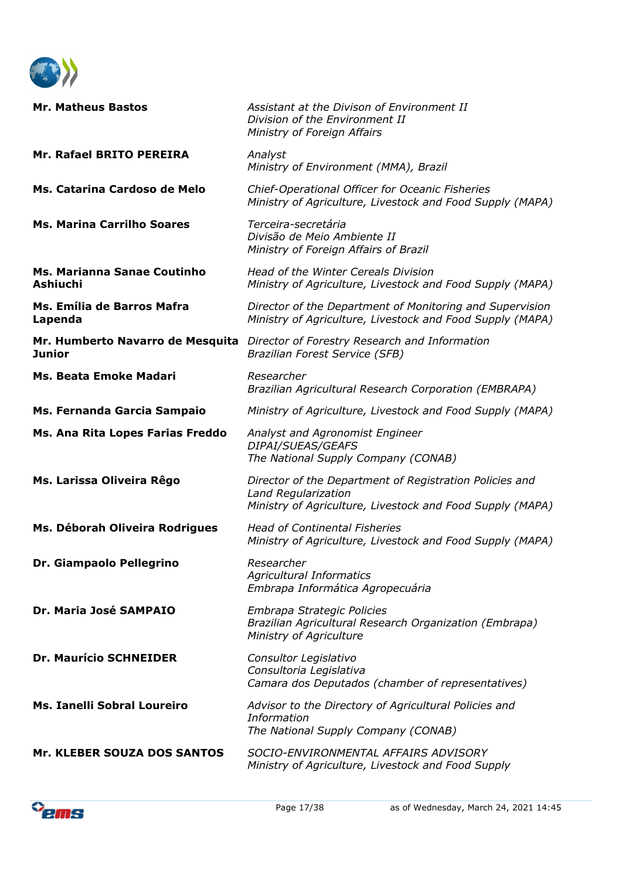

| <b>Mr. Matheus Bastos</b>                         | Assistant at the Divison of Environment II<br>Division of the Environment II<br>Ministry of Foreign Affairs                                        |
|---------------------------------------------------|----------------------------------------------------------------------------------------------------------------------------------------------------|
| Mr. Rafael BRITO PEREIRA                          | Analyst<br>Ministry of Environment (MMA), Brazil                                                                                                   |
| Ms. Catarina Cardoso de Melo                      | Chief-Operational Officer for Oceanic Fisheries<br>Ministry of Agriculture, Livestock and Food Supply (MAPA)                                       |
| <b>Ms. Marina Carrilho Soares</b>                 | Terceira-secretária<br>Divisão de Meio Ambiente II<br>Ministry of Foreign Affairs of Brazil                                                        |
| Ms. Marianna Sanae Coutinho<br>Ashiuchi           | <b>Head of the Winter Cereals Division</b><br>Ministry of Agriculture, Livestock and Food Supply (MAPA)                                            |
| Ms. Emília de Barros Mafra<br>Lapenda             | Director of the Department of Monitoring and Supervision<br>Ministry of Agriculture, Livestock and Food Supply (MAPA)                              |
| Mr. Humberto Navarro de Mesquita<br><b>Junior</b> | Director of Forestry Research and Information<br>Brazilian Forest Service (SFB)                                                                    |
| Ms. Beata Emoke Madari                            | Researcher<br>Brazilian Agricultural Research Corporation (EMBRAPA)                                                                                |
| Ms. Fernanda Garcia Sampaio                       | Ministry of Agriculture, Livestock and Food Supply (MAPA)                                                                                          |
| Ms. Ana Rita Lopes Farias Freddo                  | Analyst and Agronomist Engineer<br>DIPAI/SUEAS/GEAFS<br>The National Supply Company (CONAB)                                                        |
| Ms. Larissa Oliveira Rêgo                         | Director of the Department of Registration Policies and<br><b>Land Regularization</b><br>Ministry of Agriculture, Livestock and Food Supply (MAPA) |
| Ms. Déborah Oliveira Rodrigues                    | <b>Head of Continental Fisheries</b><br>Ministry of Agriculture, Livestock and Food Supply (MAPA)                                                  |
| Dr. Giampaolo Pellegrino                          | Researcher<br><b>Agricultural Informatics</b><br>Embrapa Informática Agropecuária                                                                  |
| Dr. Maria José SAMPAIO                            | Embrapa Strategic Policies<br>Brazilian Agricultural Research Organization (Embrapa)<br>Ministry of Agriculture                                    |
| <b>Dr. Maurício SCHNEIDER</b>                     | Consultor Legislativo<br>Consultoria Legislativa<br>Camara dos Deputados (chamber of representatives)                                              |
| <b>Ms. Ianelli Sobral Loureiro</b>                | Advisor to the Directory of Agricultural Policies and<br>Information<br>The National Supply Company (CONAB)                                        |
| Mr. KLEBER SOUZA DOS SANTOS                       | SOCIO-ENVIRONMENTAL AFFAIRS ADVISORY<br>Ministry of Agriculture, Livestock and Food Supply                                                         |

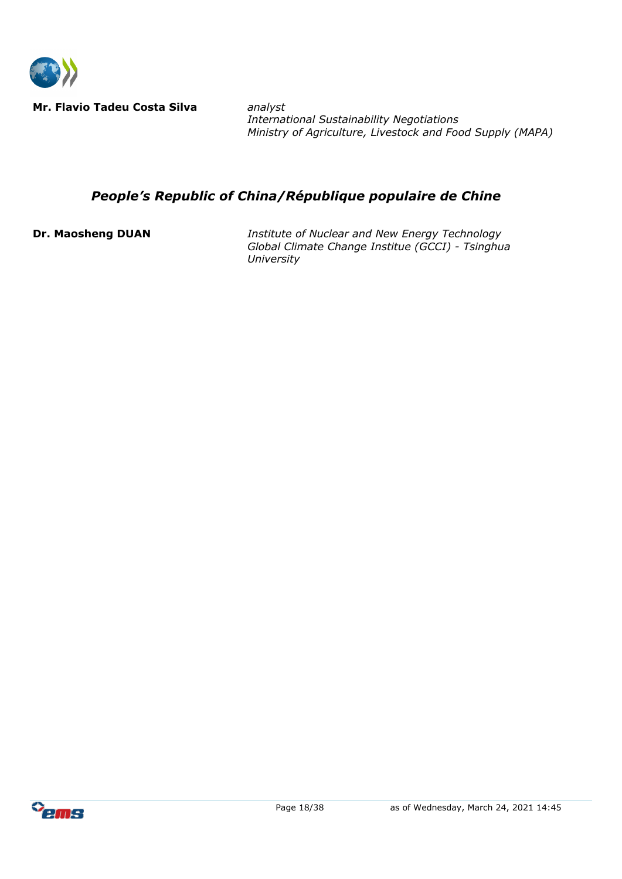

**Mr. Flavio Tadeu Costa Silva** *analyst*

*International Sustainability Negotiations Ministry of Agriculture, Livestock and Food Supply (MAPA)*

## *People's Republic of China/République populaire de Chine*

**Dr. Maosheng DUAN** *Institute of Nuclear and New Energy Technology Global Climate Change Institue (GCCI) - Tsinghua University*

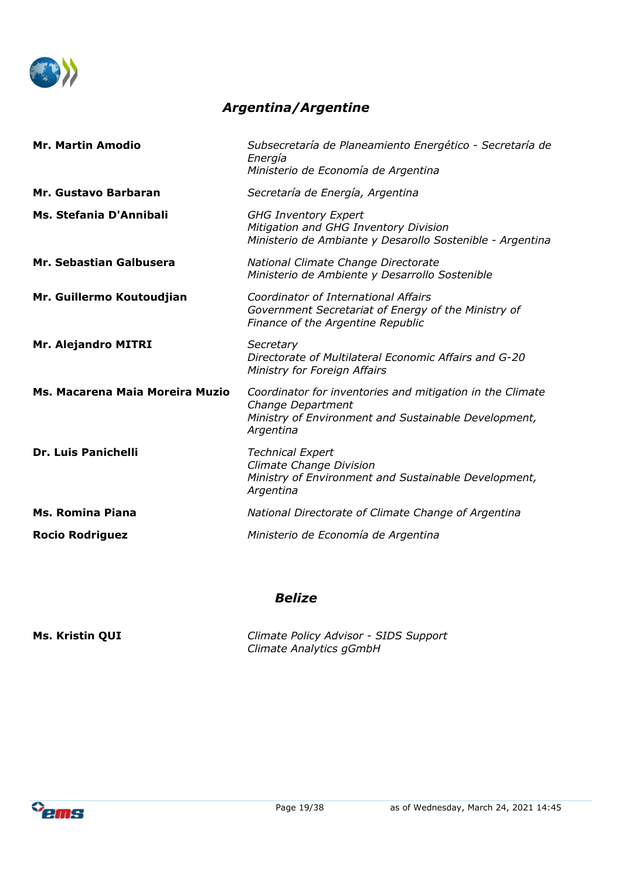

## *Argentina/Argentine*

| <b>Mr. Martin Amodio</b>        | Subsecretaría de Planeamiento Energético - Secretaría de<br>Energía<br>Ministerio de Economía de Argentina                                          |
|---------------------------------|-----------------------------------------------------------------------------------------------------------------------------------------------------|
| Mr. Gustavo Barbaran            | Secretaría de Energía, Argentina                                                                                                                    |
| Ms. Stefania D'Annibali         | <b>GHG Inventory Expert</b><br>Mitigation and GHG Inventory Division<br>Ministerio de Ambiante y Desarollo Sostenible - Argentina                   |
| Mr. Sebastian Galbusera         | National Climate Change Directorate<br>Ministerio de Ambiente y Desarrollo Sostenible                                                               |
| Mr. Guillermo Koutoudjian       | Coordinator of International Affairs<br>Government Secretariat of Energy of the Ministry of<br>Finance of the Argentine Republic                    |
| <b>Mr. Alejandro MITRI</b>      | Secretary<br>Directorate of Multilateral Economic Affairs and G-20<br>Ministry for Foreign Affairs                                                  |
| Ms. Macarena Maia Moreira Muzio | Coordinator for inventories and mitigation in the Climate<br>Change Department<br>Ministry of Environment and Sustainable Development,<br>Argentina |
| <b>Dr. Luis Panichelli</b>      | <b>Technical Expert</b><br>Climate Change Division<br>Ministry of Environment and Sustainable Development,<br>Argentina                             |
| <b>Ms. Romina Piana</b>         | National Directorate of Climate Change of Argentina                                                                                                 |
| <b>Rocio Rodriguez</b>          | Ministerio de Economía de Argentina                                                                                                                 |

#### *Belize*

**Ms. Kristin QUI** *Climate Policy Advisor - SIDS Support Climate Analytics gGmbH*

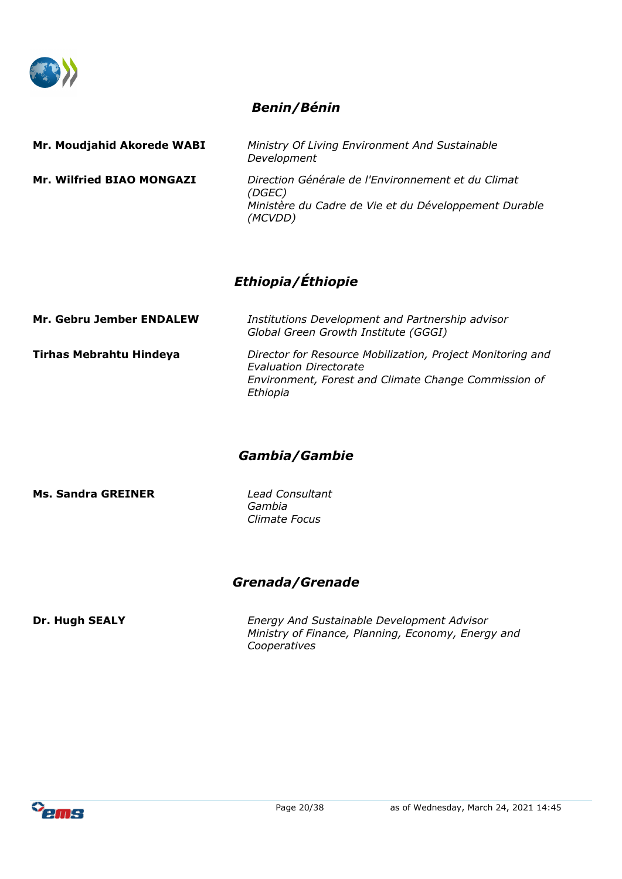

## *Benin/Bénin*

| Mr. Moudjahid Akorede WABI | Ministry Of Living Environment And Sustainable<br>Development                                                                    |
|----------------------------|----------------------------------------------------------------------------------------------------------------------------------|
| Mr. Wilfried BIAO MONGAZI  | Direction Générale de l'Environnement et du Climat<br>(DGEC)<br>Ministère du Cadre de Vie et du Développement Durable<br>(MCVDD) |

## *Ethiopia/Éthiopie*

| Mr. Gebru Jember ENDALEW | Institutions Development and Partnership advisor<br>Global Green Growth Institute (GGGI)                                                                        |
|--------------------------|-----------------------------------------------------------------------------------------------------------------------------------------------------------------|
| Tirhas Mebrahtu Hindeya  | Director for Resource Mobilization, Project Monitoring and<br><b>Evaluation Directorate</b><br>Environment, Forest and Climate Change Commission of<br>Ethiopia |

#### *Gambia/Gambie*

**Ms. Sandra GREINER** *Lead Consultant*

*Gambia Climate Focus*

## *Grenada/Grenade*

**Dr. Hugh SEALY** *Energy And Sustainable Development Advisor Ministry of Finance, Planning, Economy, Energy and Cooperatives*

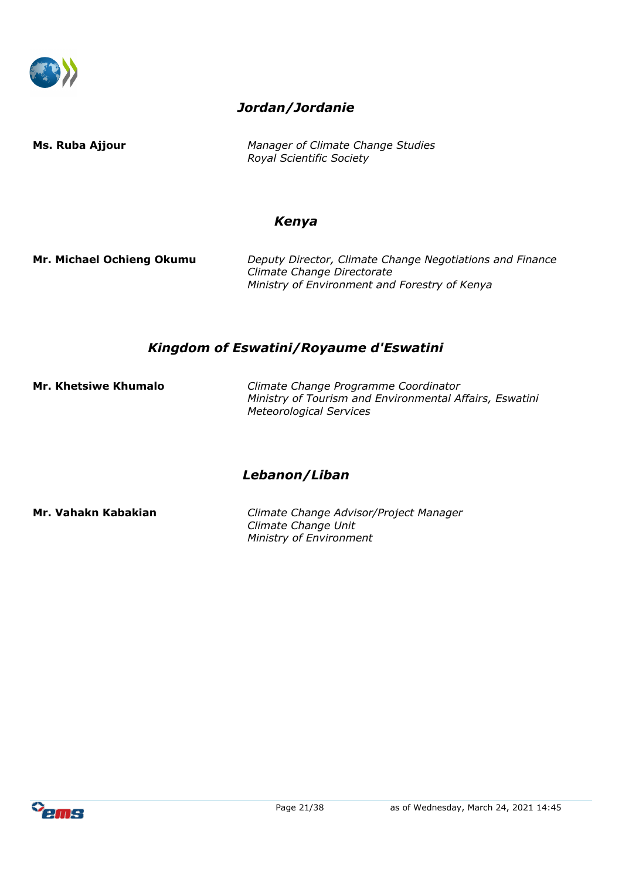

## *Jordan/Jordanie*

**Ms. Ruba Ajjour** *Manager of Climate Change Studies Royal Scientific Society*

#### *Kenya*

**Mr. Michael Ochieng Okumu** *Deputy Director, Climate Change Negotiations and Finance Climate Change Directorate Ministry of Environment and Forestry of Kenya*

#### *Kingdom of Eswatini/Royaume d'Eswatini*

**Mr. Khetsiwe Khumalo** *Climate Change Programme Coordinator Ministry of Tourism and Environmental Affairs, Eswatini Meteorological Services*

## *Lebanon/Liban*

**Mr. Vahakn Kabakian** *Climate Change Advisor/Project Manager Climate Change Unit Ministry of Environment*

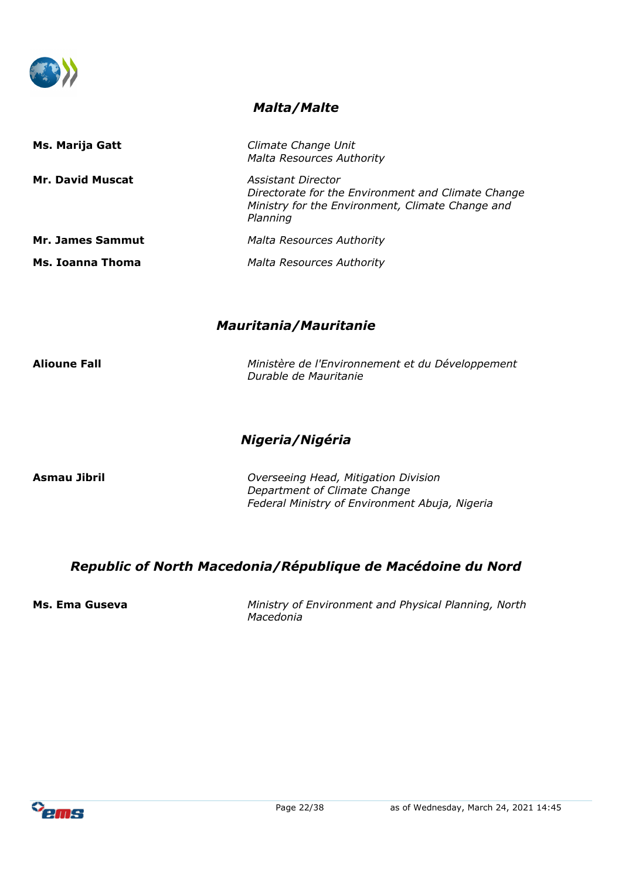

## *Malta/Malte*

| Ms. Marija Gatt         | Climate Change Unit<br><b>Malta Resources Authority</b>                                                                                  |
|-------------------------|------------------------------------------------------------------------------------------------------------------------------------------|
| <b>Mr. David Muscat</b> | Assistant Director<br>Directorate for the Environment and Climate Change<br>Ministry for the Environment, Climate Change and<br>Planning |
| <b>Mr. James Sammut</b> | <b>Malta Resources Authority</b>                                                                                                         |
| Ms. Ioanna Thoma        | <b>Malta Resources Authority</b>                                                                                                         |

#### *Mauritania/Mauritanie*

**Alioune Fall** *Ministère de l'Environnement et du Développement Durable de Mauritanie*

## *Nigeria/Nigéria*

**Asmau Jibril** *Overseeing Head, Mitigation Division Department of Climate Change Federal Ministry of Environment Abuja, Nigeria*

#### *Republic of North Macedonia/République de Macédoine du Nord*

**Ms. Ema Guseva** *Ministry of Environment and Physical Planning, North Macedonia*

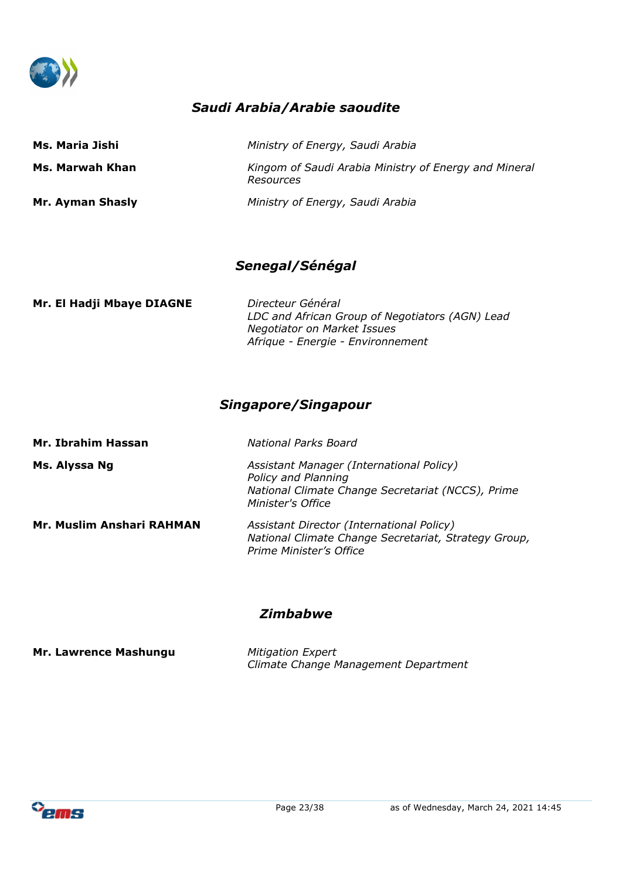

## *Saudi Arabia/Arabie saoudite*

| Ms. Maria Jishi  | Ministry of Energy, Saudi Arabia                                   |
|------------------|--------------------------------------------------------------------|
| Ms. Marwah Khan  | Kingom of Saudi Arabia Ministry of Energy and Mineral<br>Resources |
| Mr. Ayman Shasly | Ministry of Energy, Saudi Arabia                                   |

#### *Senegal/Sénégal*

**Mr. El Hadji Mbaye DIAGNE** *Directeur Général*

*LDC and African Group of Negotiators (AGN) Lead Negotiator on Market Issues Afrique - Energie - Environnement*

## *Singapore/Singapour*

| Mr. Ibrahim Hassan        | National Parks Board                                                                                                                      |
|---------------------------|-------------------------------------------------------------------------------------------------------------------------------------------|
| Ms. Alyssa Ng             | Assistant Manager (International Policy)<br>Policy and Planning<br>National Climate Change Secretariat (NCCS), Prime<br>Minister's Office |
| Mr. Muslim Anshari RAHMAN | Assistant Director (International Policy)<br>National Climate Change Secretariat, Strategy Group,<br>Prime Minister's Office              |

#### *Zimbabwe*

**Mr. Lawrence Mashungu** *Mitigation Expert*

*Climate Change Management Department*

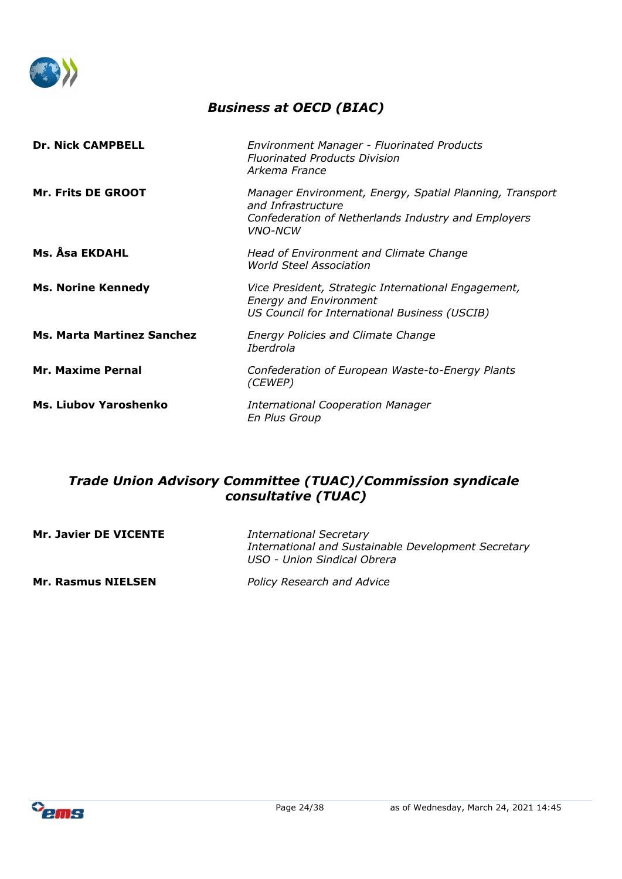

## *Business at OECD (BIAC)*

| <b>Dr. Nick CAMPBELL</b>          | <b>Environment Manager - Fluorinated Products</b><br><b>Fluorinated Products Division</b><br>Arkema France                                                     |
|-----------------------------------|----------------------------------------------------------------------------------------------------------------------------------------------------------------|
| <b>Mr. Frits DE GROOT</b>         | Manager Environment, Energy, Spatial Planning, Transport<br>and Infrastructure<br>Confederation of Netherlands Industry and Employers<br><i><b>VNO-NCW</b></i> |
| Ms. Åsa EKDAHL                    | Head of Environment and Climate Change<br><b>World Steel Association</b>                                                                                       |
| <b>Ms. Norine Kennedy</b>         | Vice President, Strategic International Engagement,<br><b>Energy and Environment</b><br>US Council for International Business (USCIB)                          |
| <b>Ms. Marta Martinez Sanchez</b> | <b>Energy Policies and Climate Change</b><br><i>Iberdrola</i>                                                                                                  |
| <b>Mr. Maxime Pernal</b>          | Confederation of European Waste-to-Energy Plants<br>(CEWEP)                                                                                                    |
| <b>Ms. Liubov Yaroshenko</b>      | <b>International Cooperation Manager</b><br>En Plus Group                                                                                                      |

#### *Trade Union Advisory Committee (TUAC)/Commission syndicale consultative (TUAC)*

| <b>Mr. Javier DE VICENTE</b> | <b>International Secretary</b><br>International and Sustainable Development Secretary<br>USO - Union Sindical Obrera |
|------------------------------|----------------------------------------------------------------------------------------------------------------------|
| <b>Mr. Rasmus NIELSEN</b>    | <b>Policy Research and Advice</b>                                                                                    |

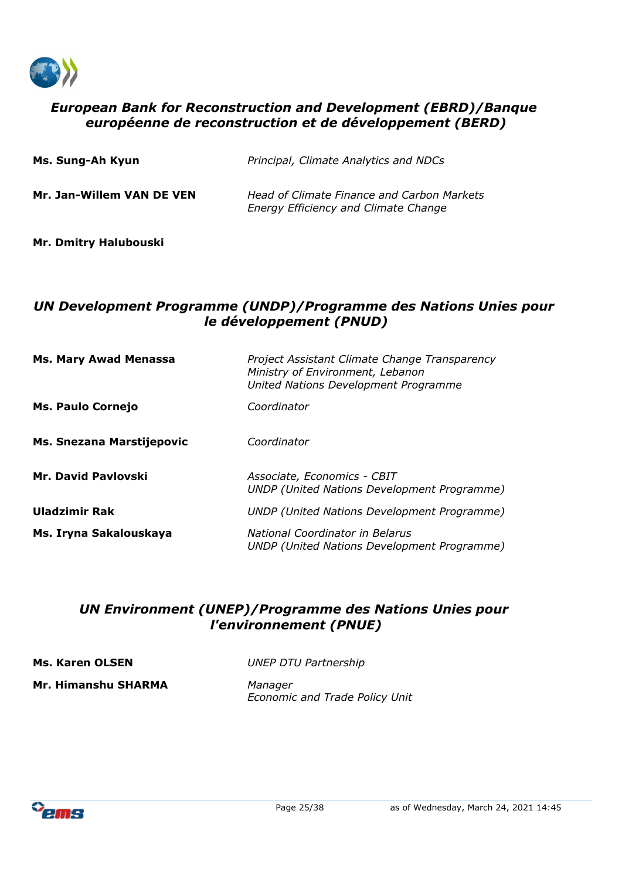

## *European Bank for Reconstruction and Development (EBRD)/Banque européenne de reconstruction et de développement (BERD)*

| Ms. Sung-Ah Kyun          | Principal, Climate Analytics and NDCs                                                     |
|---------------------------|-------------------------------------------------------------------------------------------|
| Mr. Jan-Willem VAN DE VEN | Head of Climate Finance and Carbon Markets<br><b>Energy Efficiency and Climate Change</b> |

# **Mr. Dmitry Halubouski**

#### *UN Development Programme (UNDP)/Programme des Nations Unies pour le développement (PNUD)*

| <b>Ms. Mary Awad Menassa</b> | Project Assistant Climate Change Transparency<br>Ministry of Environment, Lebanon<br>United Nations Development Programme |
|------------------------------|---------------------------------------------------------------------------------------------------------------------------|
| <b>Ms. Paulo Cornejo</b>     | Coordinator                                                                                                               |
| Ms. Snezana Marstijepovic    | Coordinator                                                                                                               |
| Mr. David Pavlovski          | Associate, Economics - CBIT<br>UNDP (United Nations Development Programme)                                                |
| Uladzimir Rak                | <b>UNDP</b> (United Nations Development Programme)                                                                        |
| Ms. Iryna Sakalouskaya       | National Coordinator in Belarus<br>UNDP (United Nations Development Programme)                                            |

#### *UN Environment (UNEP)/Programme des Nations Unies pour l'environnement (PNUE)*

**Ms. Karen OLSEN** *UNEP DTU Partnership* **Mr. Himanshu SHARMA** *Manager*

*Economic and Trade Policy Unit*

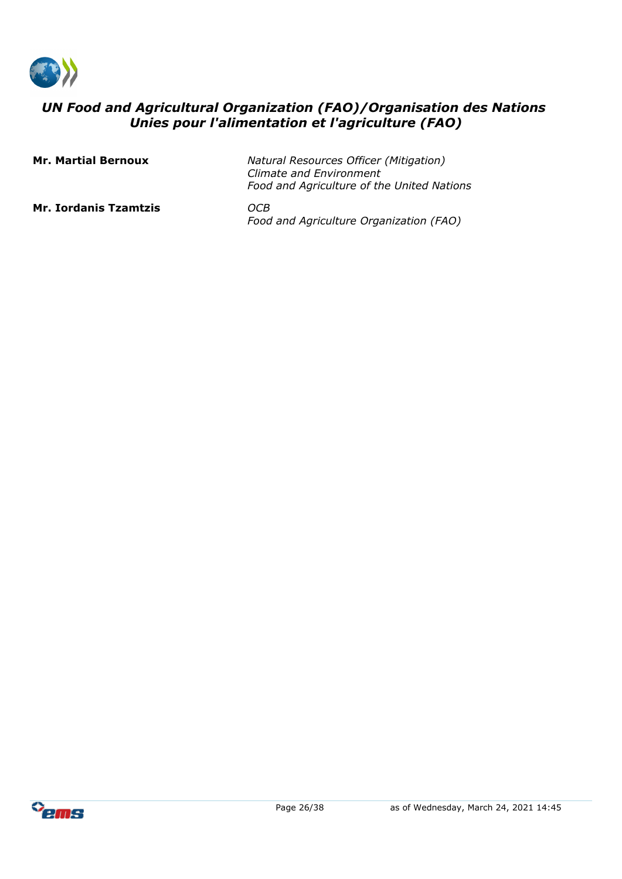

## *UN Food and Agricultural Organization (FAO)/Organisation des Nations Unies pour l'alimentation et l'agriculture (FAO)*

| <b>Mr. Martial Bernoux</b>   | <b>Natural Resources Officer (Mitigation)</b><br>Climate and Environment<br>Food and Agriculture of the United Nations |
|------------------------------|------------------------------------------------------------------------------------------------------------------------|
| <b>Mr. Iordanis Tzamtzis</b> | OCB.<br>Food and Agriculture Organization (FAO)                                                                        |

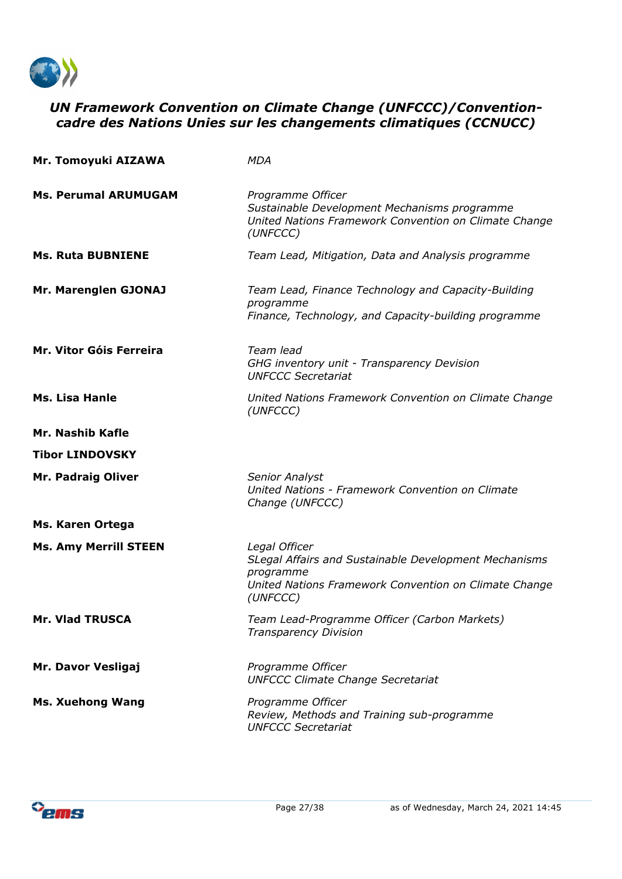

## *UN Framework Convention on Climate Change (UNFCCC)/Conventioncadre des Nations Unies sur les changements climatiques (CCNUCC)*

| Mr. Tomoyuki AIZAWA          | <b>MDA</b>                                                                                                                                               |
|------------------------------|----------------------------------------------------------------------------------------------------------------------------------------------------------|
| <b>Ms. Perumal ARUMUGAM</b>  | Programme Officer<br>Sustainable Development Mechanisms programme<br>United Nations Framework Convention on Climate Change<br>(UNFCCC)                   |
| <b>Ms. Ruta BUBNIENE</b>     | Team Lead, Mitigation, Data and Analysis programme                                                                                                       |
| Mr. Marenglen GJONAJ         | Team Lead, Finance Technology and Capacity-Building<br>programme<br>Finance, Technology, and Capacity-building programme                                 |
| Mr. Vitor Góis Ferreira      | Team lead<br>GHG inventory unit - Transparency Devision<br><b>UNFCCC Secretariat</b>                                                                     |
| <b>Ms. Lisa Hanle</b>        | United Nations Framework Convention on Climate Change<br>(UNFCCC)                                                                                        |
| Mr. Nashib Kafle             |                                                                                                                                                          |
| <b>Tibor LINDOVSKY</b>       |                                                                                                                                                          |
| <b>Mr. Padraig Oliver</b>    | <b>Senior Analyst</b><br>United Nations - Framework Convention on Climate<br>Change (UNFCCC)                                                             |
| Ms. Karen Ortega             |                                                                                                                                                          |
| <b>Ms. Amy Merrill STEEN</b> | Legal Officer<br>SLegal Affairs and Sustainable Development Mechanisms<br>programme<br>United Nations Framework Convention on Climate Change<br>(UNFCCC) |
| <b>Mr. Vlad TRUSCA</b>       | Team Lead-Programme Officer (Carbon Markets)<br><b>Transparency Division</b>                                                                             |
| Mr. Davor Vesligaj           | Programme Officer<br><b>UNFCCC Climate Change Secretariat</b>                                                                                            |
| <b>Ms. Xuehong Wang</b>      | Programme Officer<br>Review, Methods and Training sub-programme<br><b>UNFCCC Secretariat</b>                                                             |

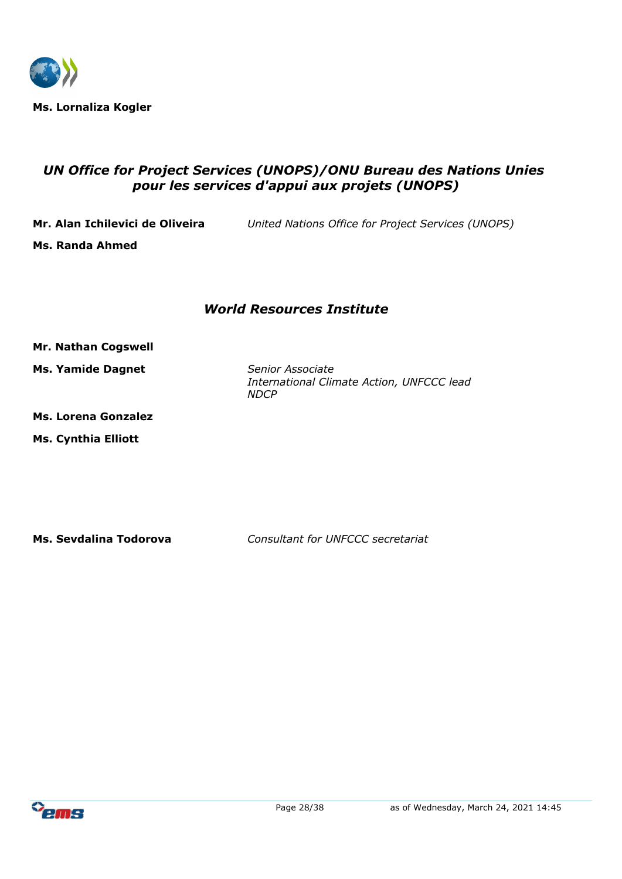

## *UN Office for Project Services (UNOPS)/ONU Bureau des Nations Unies pour les services d'appui aux projets (UNOPS)*

**Ms. Randa Ahmed**

**Mr. Alan Ichilevici de Oliveira** *United Nations Office for Project Services (UNOPS)*

## *World Resources Institute*

#### **Mr. Nathan Cogswell**

**Ms. Yamide Dagnet** *Senior Associate*

*International Climate Action, UNFCCC lead NDCP*

- **Ms. Lorena Gonzalez**
- **Ms. Cynthia Elliott**

**Ms. Sevdalina Todorova** *Consultant for UNFCCC secretariat* 

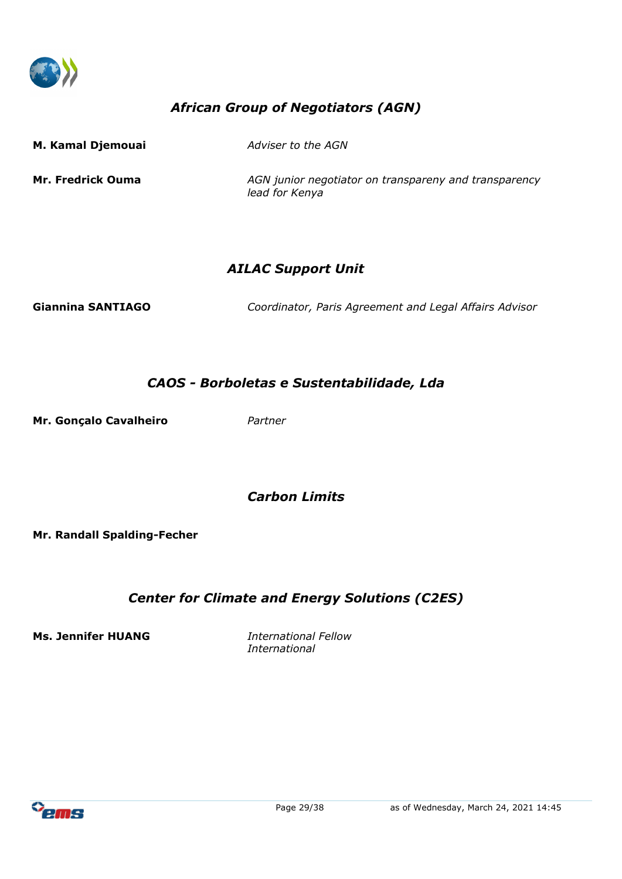

## *African Group of Negotiators (AGN)*

**M. Kamal Djemouai** *Adviser to the AGN*

**Mr. Fredrick Ouma** *AGN junior negotiator on transpareny and transparency lead for Kenya* 

## *AILAC Support Unit*

**Giannina SANTIAGO** *Coordinator, Paris Agreement and Legal Affairs Advisor*

## *CAOS - Borboletas e Sustentabilidade, Lda*

**Mr. Gonçalo Cavalheiro** *Partner*

## *Carbon Limits*

**Mr. Randall Spalding-Fecher**

## *Center for Climate and Energy Solutions (C2ES)*

**Ms. Jennifer HUANG** *International Fellow*

*International*

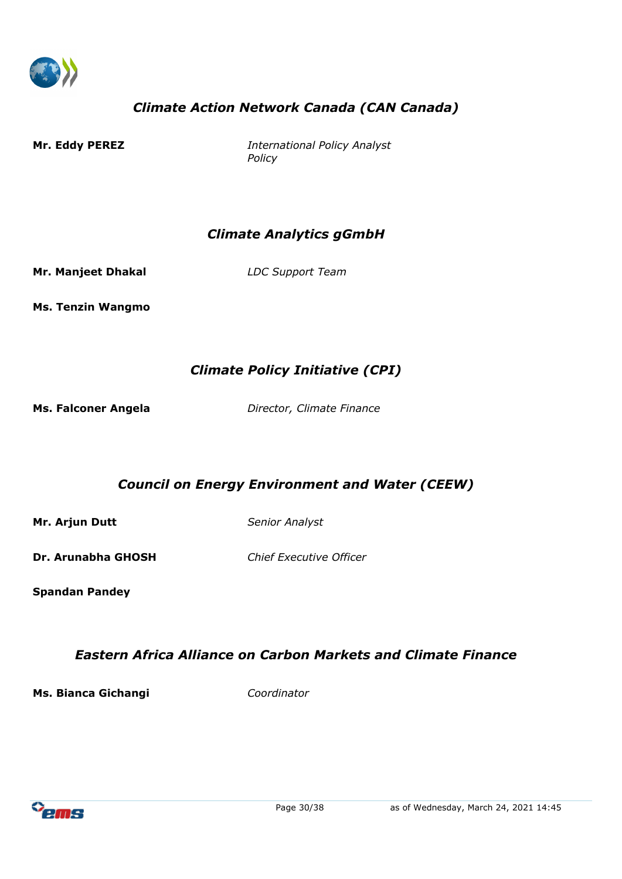

# *Climate Action Network Canada (CAN Canada)*

**Mr. Eddy PEREZ** *International Policy Analyst Policy*

## *Climate Analytics gGmbH*

**Mr. Manjeet Dhakal** *LDC Support Team*

**Ms. Tenzin Wangmo**

## *Climate Policy Initiative (CPI)*

**Ms. Falconer Angela** *Director, Climate Finance*

*Council on Energy Environment and Water (CEEW)*

**Mr. Arjun Dutt** *Senior Analyst* 

**Dr. Arunabha GHOSH** *Chief Executive Officer*

**Spandan Pandey**

## *Eastern Africa Alliance on Carbon Markets and Climate Finance*

**Ms. Bianca Gichangi** *Coordinator*

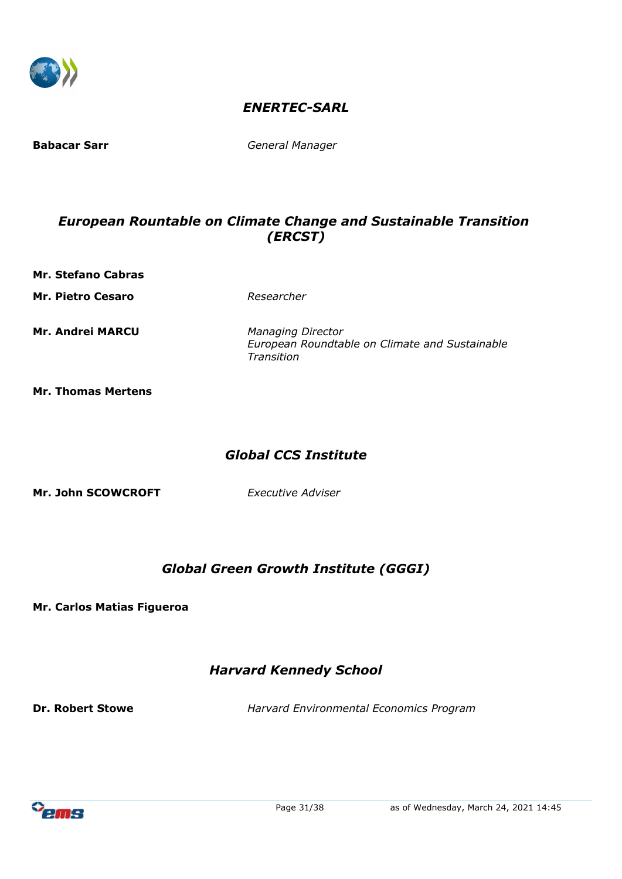

## *ENERTEC-SARL*

**Babacar Sarr** *General Manager*

## *European Rountable on Climate Change and Sustainable Transition (ERCST)*

**Mr. Stefano Cabras**

**Mr. Pietro Cesaro** *Researcher*

**Mr. Andrei MARCU** *Managing Director* 

*European Roundtable on Climate and Sustainable Transition*

**Mr. Thomas Mertens**

## *Global CCS Institute*

**Mr. John SCOWCROFT** *Executive Adviser*

## *Global Green Growth Institute (GGGI)*

**Mr. Carlos Matias Figueroa**

## *Harvard Kennedy School*

**Dr. Robert Stowe** *Harvard Environmental Economics Program*

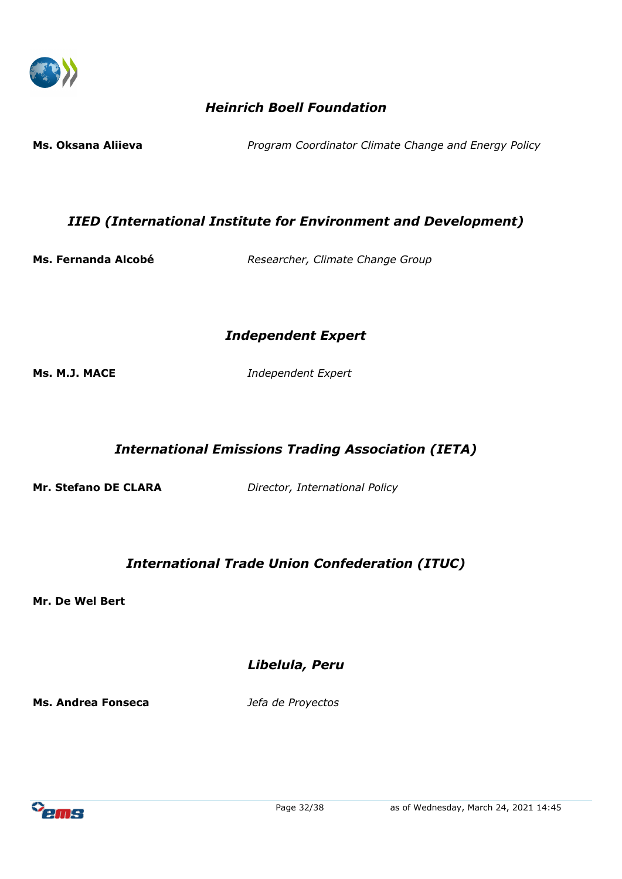

## *Heinrich Boell Foundation*

**Ms. Oksana Aliieva** *Program Coordinator Climate Change and Energy Policy* 

## *IIED (International Institute for Environment and Development)*

**Ms. Fernanda Alcobé** *Researcher, Climate Change Group*

#### *Independent Expert*

**Ms. M.J. MACE** *Independent Expert*

*International Emissions Trading Association (IETA)*

**Mr. Stefano DE CLARA** *Director, International Policy* 

## *International Trade Union Confederation (ITUC)*

**Mr. De Wel Bert**

*Libelula, Peru*

**Ms. Andrea Fonseca** *Jefa de Proyectos* 

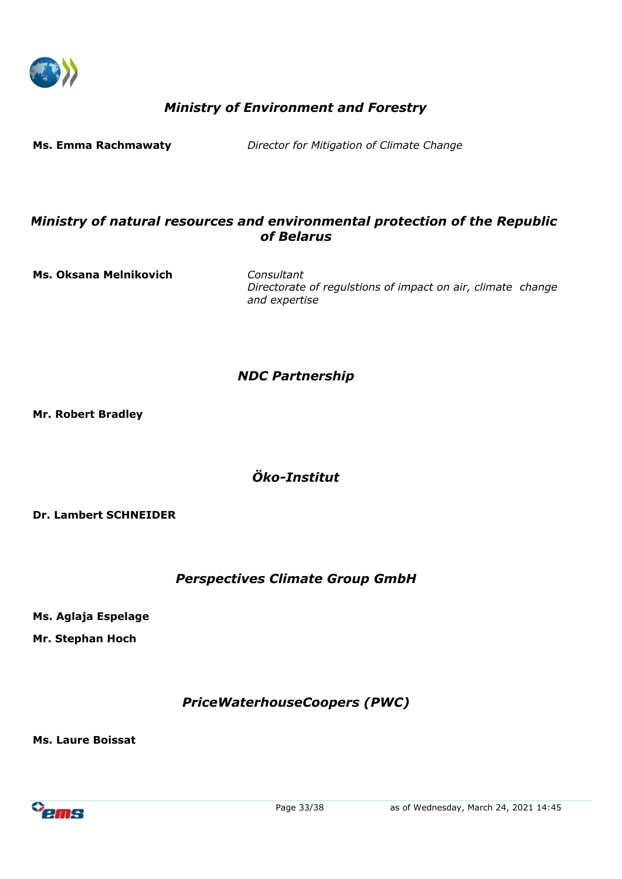

## *Ministry of Environment and Forestry*

#### *Ministry of natural resources and environmental protection of the Republic of Belarus*

**Ms. Oksana Melnikovich** *Consultant*

*Directorate of regulstions of impact on air, climate change and expertise*

## *NDC Partnership*

**Mr. Robert Bradley**

## *Öko-Institut*

#### **Dr. Lambert SCHNEIDER**

#### *Perspectives Climate Group GmbH*

**Ms. Aglaja Espelage**

**Mr. Stephan Hoch**

## *PriceWaterhouseCoopers (PWC)*

**Ms. Laure Boissat**

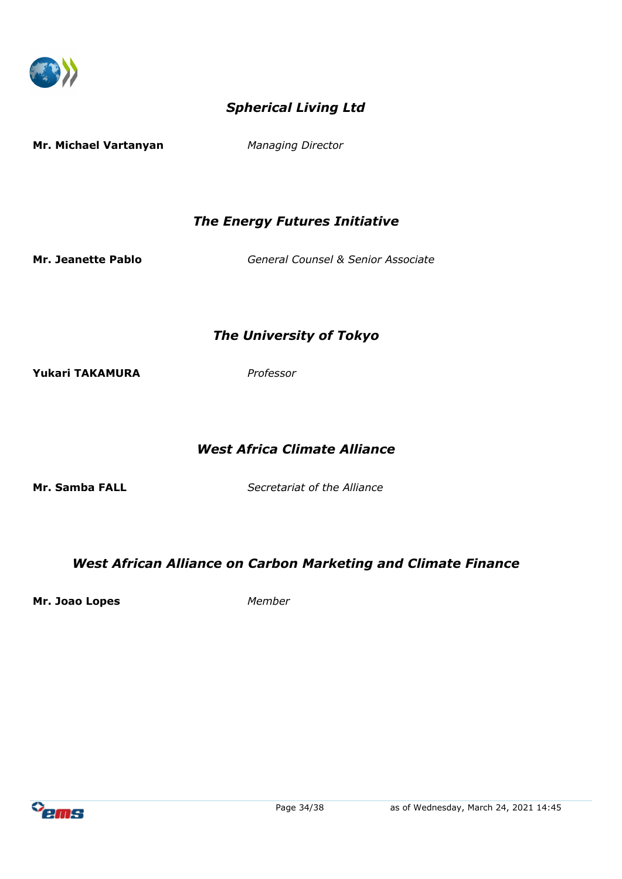

## *Spherical Living Ltd*

**Mr. Michael Vartanyan** *Managing Director*

## *The Energy Futures Initiative*

**Mr. Jeanette Pablo** *General Counsel & Senior Associate*

*The University of Tokyo*

**Yukari TAKAMURA** *Professor*

#### *West Africa Climate Alliance*

**Mr. Samba FALL** *Secretariat of the Alliance*

## *West African Alliance on Carbon Marketing and Climate Finance*

**Mr. Joao Lopes** *Member*

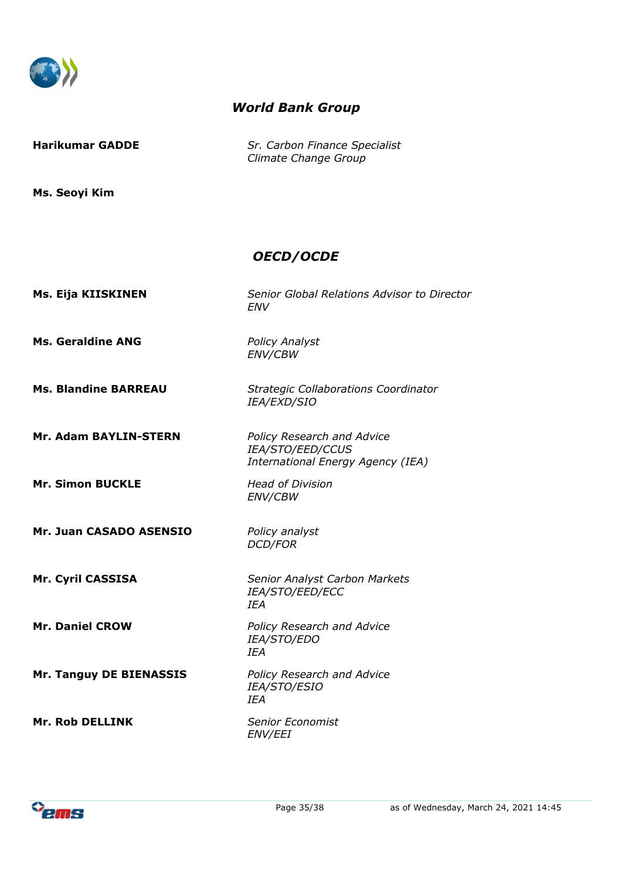

## *World Bank Group*

**Harikumar GADDE** *Sr. Carbon Finance Specialist*

*Climate Change Group*

**Ms. Seoyi Kim**

## *OECD/OCDE*

**Ms. Eija KIISKINEN** *Senior Global Relations Advisor to Director*

**Ms. Geraldine ANG** *Policy Analyst*

*ENV*

*ENV/CBW*

**Ms. Blandine BARREAU** *Strategic Collaborations Coordinator IEA/EXD/SIO*

*International Energy Agency (IEA)*

**Mr. Adam BAYLIN-STERN** *Policy Research and Advice*

**Mr. Simon BUCKLE** *Head of Division* 

*ENV/CBW*

*DCD/FOR*

*IEA/STO/EED/CCUS*

**Mr. Juan CASADO ASENSIO** *Policy analyst*

**Mr. Cyril CASSISA** *Senior Analyst Carbon Markets IEA/STO/EED/ECC IEA*

**Mr. Daniel CROW** *Policy Research and Advice IEA/STO/EDO IEA*

**Mr. Tanguy DE BIENASSIS** *Policy Research and Advice*

*IEA/STO/ESIO IEA*

**Mr. Rob DELLINK** *Senior Economist ENV/EEI*

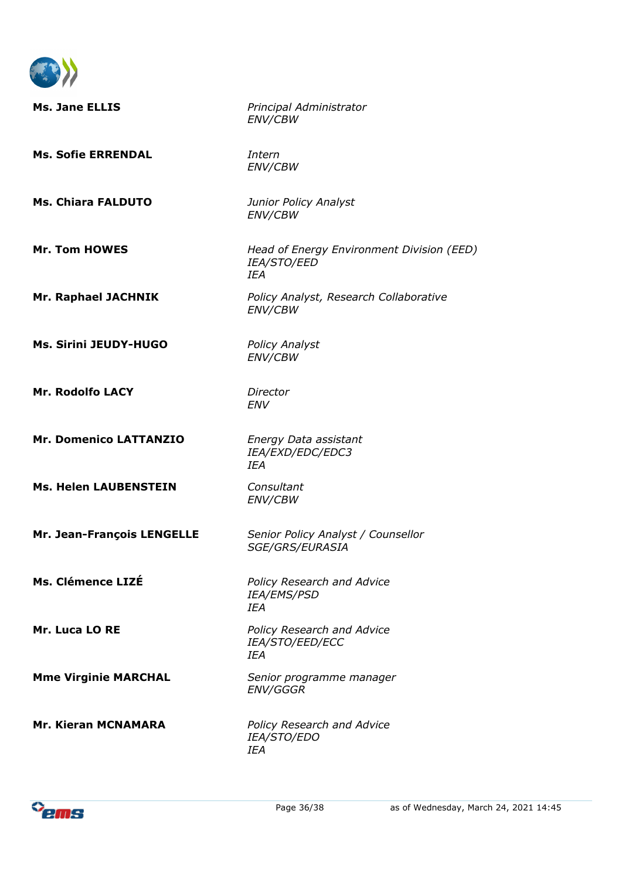

| <b>Ms. Jane ELLIS</b>         | Principal Administrator<br><b>ENV/CBW</b>                                     |
|-------------------------------|-------------------------------------------------------------------------------|
| <b>Ms. Sofie ERRENDAL</b>     | Intern<br>ENV/CBW                                                             |
| <b>Ms. Chiara FALDUTO</b>     | Junior Policy Analyst<br>ENV/CBW                                              |
| <b>Mr. Tom HOWES</b>          | Head of Energy Environment Division (EED)<br><b>IEA/STO/EED</b><br><b>IFA</b> |
| Mr. Raphael JACHNIK           | Policy Analyst, Research Collaborative<br>ENV/CBW                             |
| <b>Ms. Sirini JEUDY-HUGO</b>  | <b>Policy Analyst</b><br>ENV/CBW                                              |
| Mr. Rodolfo LACY              | Director<br><b>ENV</b>                                                        |
| <b>Mr. Domenico LATTANZIO</b> | Energy Data assistant<br>IEA/EXD/EDC/EDC3<br><b>IFA</b>                       |
| <b>Ms. Helen LAUBENSTEIN</b>  | Consultant<br>ENV/CBW                                                         |
| Mr. Jean-François LENGELLE    | Senior Policy Analyst / Counsellor<br><b>SGE/GRS/EURASIA</b>                  |
| Ms. Clémence LIZÉ             | Policy Research and Advice<br><b>IEA/EMS/PSD</b><br><b>IFA</b>                |
| Mr. Luca LO RE                | Policy Research and Advice<br>IEA/STO/EED/ECC<br><b>IFA</b>                   |
| <b>Mme Virginie MARCHAL</b>   | Senior programme manager<br><b>ENV/GGGR</b>                                   |
| <b>Mr. Kieran MCNAMARA</b>    | Policy Research and Advice<br>IEA/STO/EDO<br>IEA                              |

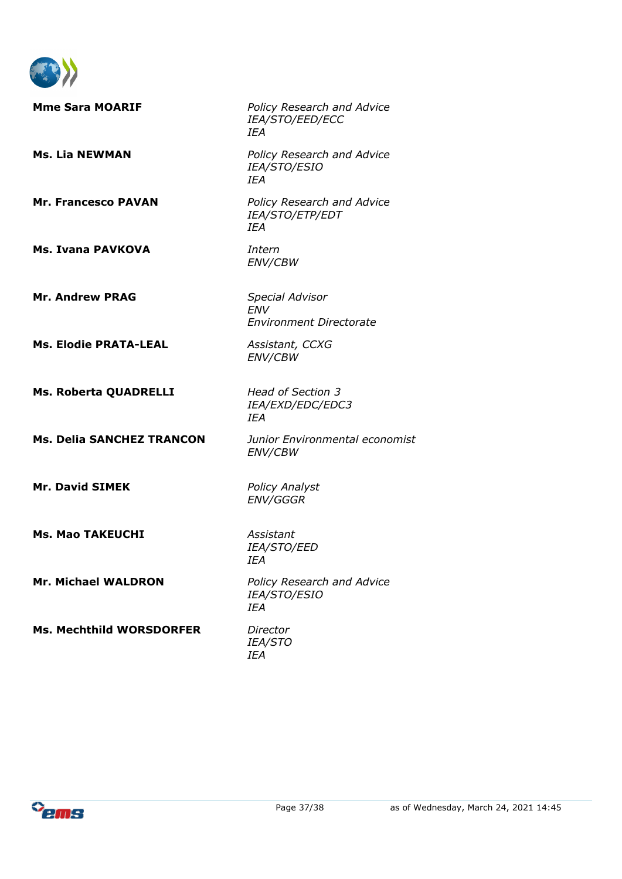

| <b>Mme Sara MOARIF</b>           | Policy Research and Advice<br>IEA/STO/EED/ECC<br><b>IFA</b>            |
|----------------------------------|------------------------------------------------------------------------|
| <b>Ms. Lia NEWMAN</b>            | <b>Policy Research and Advice</b><br>IEA/STO/ESIO<br><b>IEA</b>        |
| <b>Mr. Francesco PAVAN</b>       | Policy Research and Advice<br>IEA/STO/ETP/EDT<br><b>IEA</b>            |
| <b>Ms. Ivana PAVKOVA</b>         | Intern<br><b>ENV/CBW</b>                                               |
| <b>Mr. Andrew PRAG</b>           | <b>Special Advisor</b><br><b>FNV</b><br><b>Environment Directorate</b> |
| <b>Ms. Elodie PRATA-LEAL</b>     | Assistant, CCXG<br><b>ENV/CBW</b>                                      |
| Ms. Roberta QUADRELLI            | Head of Section 3<br>IEA/EXD/EDC/EDC3<br>IFA                           |
| <b>Ms. Delia SANCHEZ TRANCON</b> | Junior Environmental economist<br><b>ENV/CBW</b>                       |
| <b>Mr. David SIMEK</b>           | <b>Policy Analyst</b><br><b>ENV/GGGR</b>                               |
| <b>Ms. Mao TAKEUCHI</b>          | Assistant<br><i>IEA/STO/EED</i><br>IEA                                 |
| <b>Mr. Michael WALDRON</b>       | Policy Research and Advice<br><b>IEA/STO/ESIO</b><br>IEA               |
| <b>Ms. Mechthild WORSDORFER</b>  | Director<br>IEA/STO<br>IEA                                             |